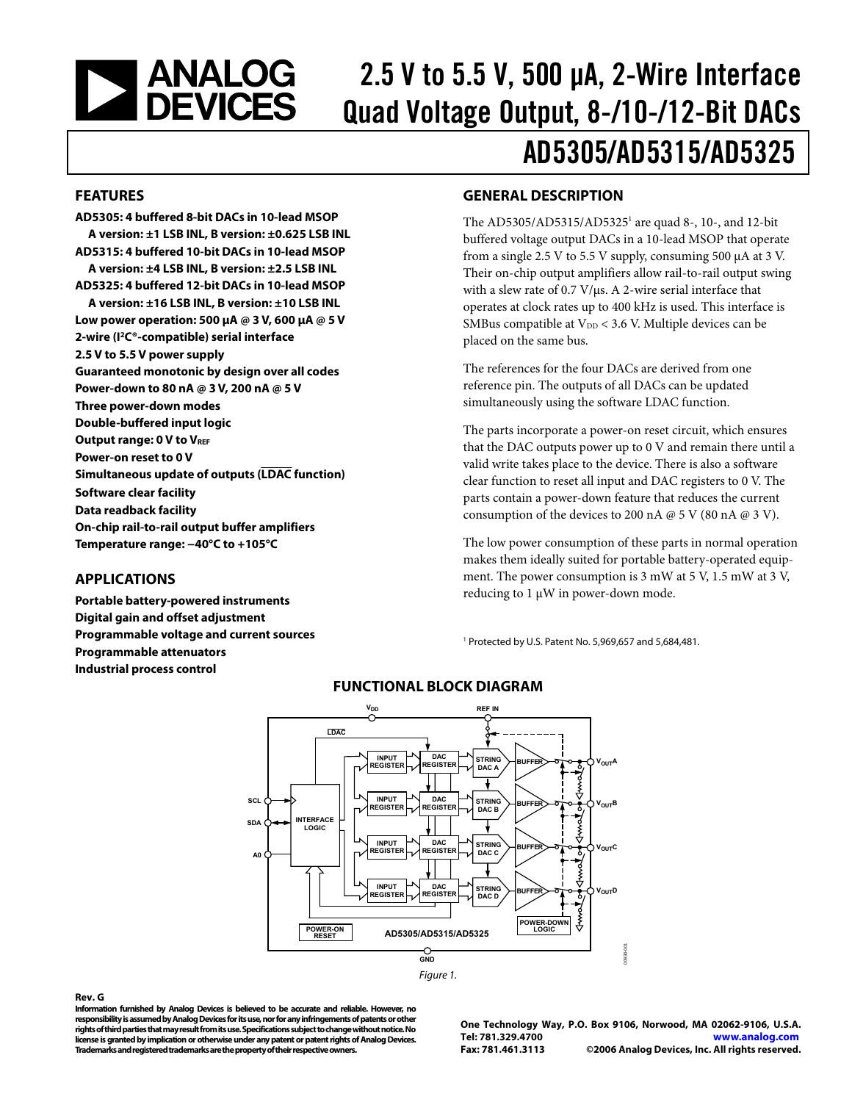<span id="page-0-0"></span>

# 2.5 V to 5.5 V, 500 μA, 2-Wire Interface Quad Voltage Output, 8-/10-/12-Bit DACs AD5305/AD5315/AD5325

#### **FEATURES**

**AD5305: 4 buffered 8-bit DACs in 10-lead MSOP A version: ±1 LSB INL, B version: ±0.625 LSB INL AD5315: 4 buffered 10-bit DACs in 10-lead MSOP A version: ±4 LSB INL, B version: ±2.5 LSB INL AD5325: 4 buffered 12-bit DACs in 10-lead MSOP A version: ±16 LSB INL, B version: ±10 LSB INL Low power operation: 500 μA @ 3 V, 600 μA @ 5 V 2-wire (I2C®-compatible) serial interface 2.5 V to 5.5 V power supply Guaranteed monotonic by design over all codes Power-down to 80 nA @ 3 V, 200 nA @ 5 V Three power-down modes Double-buffered input logic Output range: 0 V to VREF Power-on reset to 0 V Simultaneous update of outputs (LDAC function) Software clear facility Data readback facility On-chip rail-to-rail output buffer amplifiers Temperature range: −40°C to +105°C** 

#### **APPLICATIONS**

**Portable battery-powered instruments Digital gain and offset adjustment Programmable voltage and current sources Programmable attenuators Industrial process control** 

### **GENERAL DESCRIPTION**

The AD5305/AD5315/AD53251 are quad 8-, 10-, and 12-bit buffered voltage output DACs in a 10-lead MSOP that operate from a single 2.5 V to 5.5 V supply, consuming 500 μA at 3 V. Their on-chip output amplifiers allow rail-to-rail output swing with a slew rate of 0.7 V/μs. A 2-wire serial interface that operates at clock rates up to 400 kHz is used. This interface is SMBus compatible at  $V_{DD}$  < 3.6 V. Multiple devices can be placed on the same bus.

The references for the four DACs are derived from one reference pin. The outputs of all DACs can be updated simultaneously using the software LDAC function.

The parts incorporate a power-on reset circuit, which ensures that the DAC outputs power up to 0 V and remain there until a valid write takes place to the device. There is also a software clear function to reset all input and DAC registers to 0 V. The parts contain a power-down feature that reduces the current consumption of the devices to 200 nA  $@$  5 V (80 nA  $@$  3 V).

The low power consumption of these parts in normal operation makes them ideally suited for portable battery-operated equipment. The power consumption is 3 mW at 5 V, 1.5 mW at 3 V, reducing to 1 μW in power-down mode.

1 Protected by U.S. Patent No. 5,969,657 and 5,684,481.



### **FUNCTIONAL BLOCK DIAGRAM**

Figure 1.

#### **Rev. G**

**Information furnished by Analog Devices is believed to be accurate and reliable. However, no responsibility is assumed by Analog Devices for its use, nor for any infringements of patents or other rights of third parties that may result from its use. Specifications subject to change without notice. No license is granted by implication or otherwise under any patent or patent rights of Analog Devices. Trademarks and registered trademarks are the property of their respective owners.** 

**One Technology Way, P.O. Box 9106, Norwood, MA 02062-9106, U.S.A. Tel: 781.329.4700 www.analog.com Fax: 781.461.3113 ©2006 Analog Devices, Inc. All rights reserved.**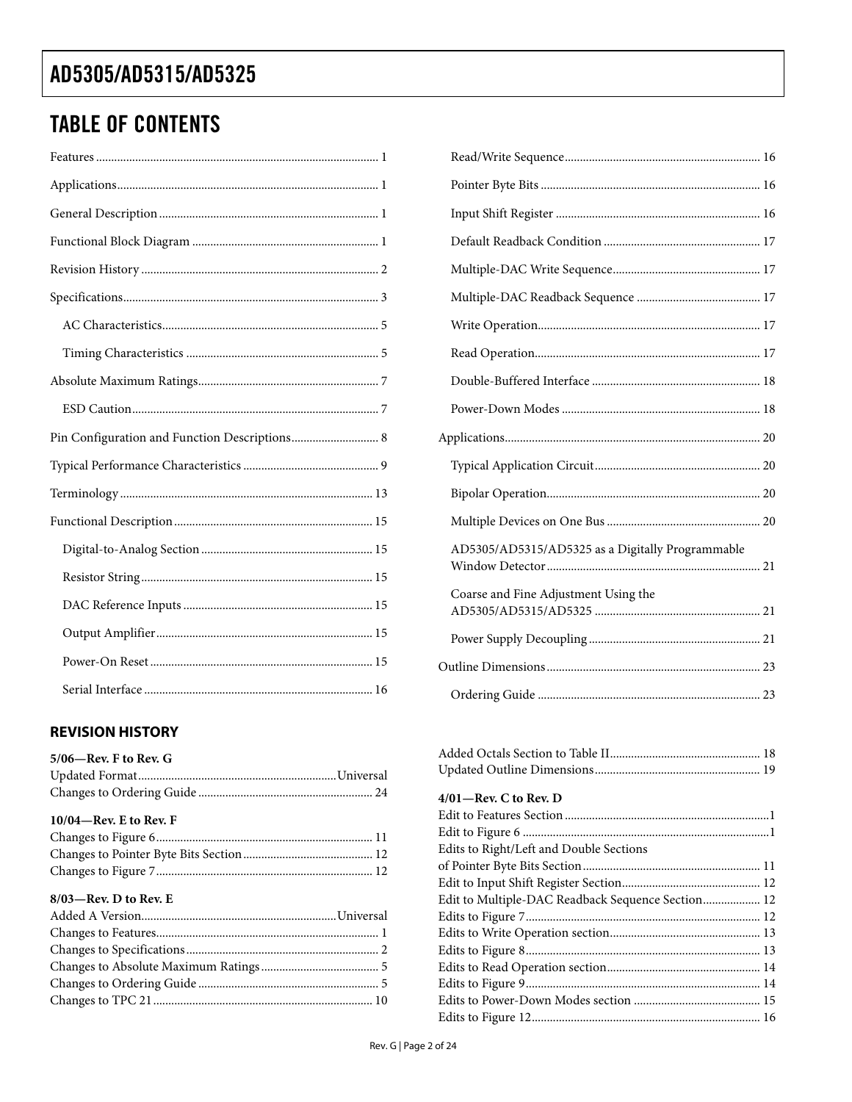## <span id="page-1-0"></span>**TABLE OF CONTENTS**

| Pin Configuration and Function Descriptions 8 |
|-----------------------------------------------|
|                                               |
|                                               |
|                                               |
|                                               |
|                                               |
|                                               |
|                                               |
|                                               |

## **REVISION HISTORY**

| $5/06$ —Rev. F to Rev. G  |  |
|---------------------------|--|
|                           |  |
|                           |  |
| $10/04$ —Rev. E to Rev. F |  |
|                           |  |
|                           |  |
|                           |  |

### $8/03$  — Rev. D to Rev. E

| AD5305/AD5315/AD5325 as a Digitally Programmable |  |
|--------------------------------------------------|--|
| Coarse and Fine Adjustment Using the             |  |
|                                                  |  |
|                                                  |  |
|                                                  |  |
|                                                  |  |

| $4/01$ —Rev. C to Rev. D                          |  |
|---------------------------------------------------|--|
|                                                   |  |
|                                                   |  |
| Edits to Right/Left and Double Sections           |  |
|                                                   |  |
|                                                   |  |
| Edit to Multiple-DAC Readback Sequence Section 12 |  |
|                                                   |  |
|                                                   |  |
|                                                   |  |
|                                                   |  |
|                                                   |  |
|                                                   |  |
|                                                   |  |
|                                                   |  |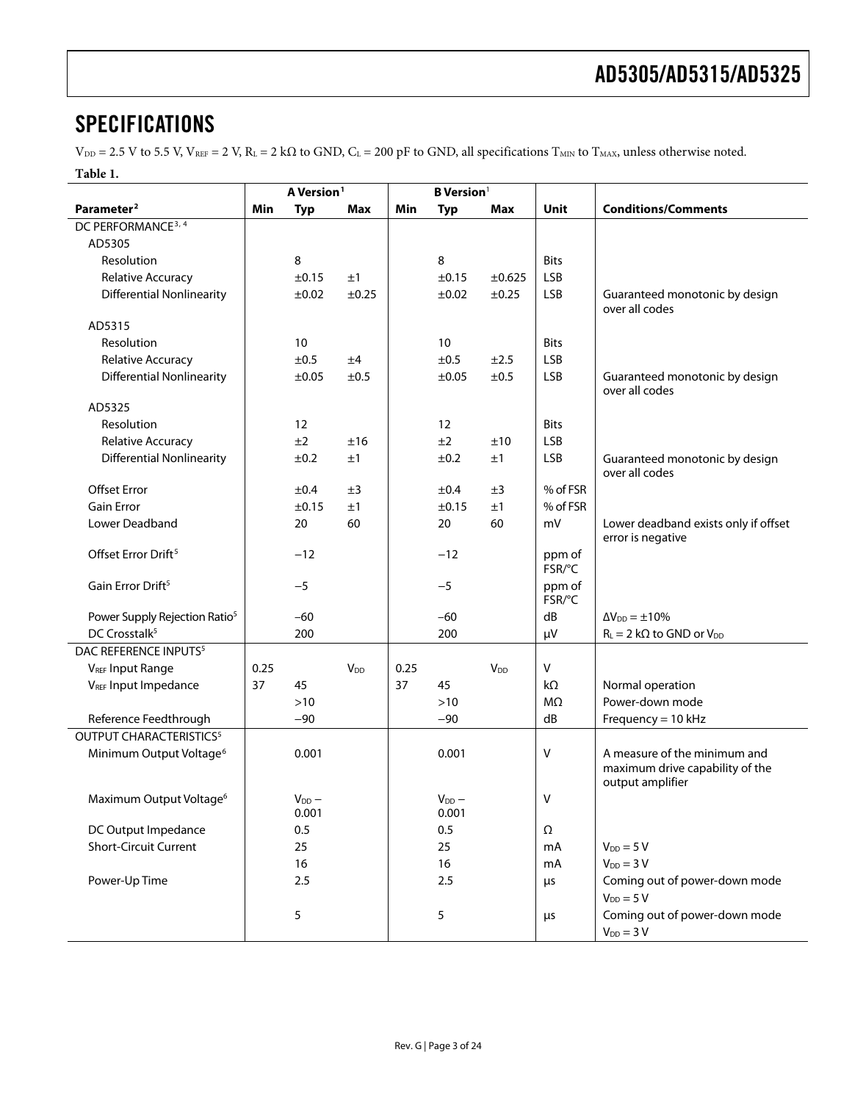## <span id="page-2-0"></span>**SPECIFICATIONS**

 $V_{DD} = 2.5$  V to 5.5 V,  $V_{REF} = 2$  V,  $R_L = 2$  k $\Omega$  to GND,  $C_L = 200$  pF to GND, all specifications  $T_{MIN}$  to  $T_{MAX}$ , unless otherwise noted.

**Table 1.** 

|                                           | A Version <sup>1</sup> |                       |                        | <b>B</b> Version <sup>1</sup> |                       |                        |                  |                                                                                     |
|-------------------------------------------|------------------------|-----------------------|------------------------|-------------------------------|-----------------------|------------------------|------------------|-------------------------------------------------------------------------------------|
| Parameter <sup>2</sup>                    | Min                    | <b>Typ</b>            | <b>Max</b>             | Min                           | <b>Typ</b>            | <b>Max</b>             | Unit             | <b>Conditions/Comments</b>                                                          |
| DC PERFORMANCE <sup>3, 4</sup>            |                        |                       |                        |                               |                       |                        |                  |                                                                                     |
| AD5305                                    |                        |                       |                        |                               |                       |                        |                  |                                                                                     |
| Resolution                                |                        | 8                     |                        |                               | 8                     |                        | <b>Bits</b>      |                                                                                     |
| Relative Accuracy                         |                        | ±0.15                 | ±1                     |                               | ±0.15                 | ±0.625                 | <b>LSB</b>       |                                                                                     |
| <b>Differential Nonlinearity</b>          |                        | ±0.02                 | ±0.25                  |                               | ±0.02                 | ±0.25                  | <b>LSB</b>       | Guaranteed monotonic by design<br>over all codes                                    |
| AD5315                                    |                        |                       |                        |                               |                       |                        |                  |                                                                                     |
| Resolution                                |                        | 10                    |                        |                               | 10                    |                        | <b>Bits</b>      |                                                                                     |
| Relative Accuracy                         |                        | ±0.5                  | ±4                     |                               | ±0.5                  | ±2.5                   | <b>LSB</b>       |                                                                                     |
| <b>Differential Nonlinearity</b>          |                        | ±0.05                 | ±0.5                   |                               | ±0.05                 | ±0.5                   | <b>LSB</b>       | Guaranteed monotonic by design<br>over all codes                                    |
| AD5325                                    |                        |                       |                        |                               |                       |                        |                  |                                                                                     |
| Resolution                                |                        | 12                    |                        |                               | 12                    |                        | <b>Bits</b>      |                                                                                     |
| Relative Accuracy                         |                        | ±2                    | ±16                    |                               | ±2                    | ±10                    | <b>LSB</b>       |                                                                                     |
| <b>Differential Nonlinearity</b>          |                        | ±0.2                  | ±1                     |                               | ±0.2                  | ±1                     | <b>LSB</b>       | Guaranteed monotonic by design<br>over all codes                                    |
| <b>Offset Error</b>                       |                        | ±0.4                  | ±3                     |                               | ±0.4                  | ±3                     | % of FSR         |                                                                                     |
| <b>Gain Error</b>                         |                        | ±0.15                 | ±1                     |                               | ±0.15                 | ±1                     | % of FSR         |                                                                                     |
| Lower Deadband                            |                        | 20                    | 60                     |                               | 20                    | 60                     | mV               | Lower deadband exists only if offset<br>error is negative                           |
| Offset Error Drift <sup>5</sup>           |                        | $-12$                 |                        |                               | $-12$                 |                        | ppm of<br>FSR/°C |                                                                                     |
| Gain Error Drift <sup>5</sup>             |                        | $-5$                  |                        |                               | $-5$                  |                        | ppm of<br>FSR/°C |                                                                                     |
| Power Supply Rejection Ratio <sup>5</sup> |                        | $-60$                 |                        |                               | $-60$                 |                        | dB               | $\Delta V_{DD} = \pm 10\%$                                                          |
| DC Crosstalk <sup>5</sup>                 |                        | 200                   |                        |                               | 200                   |                        | μV               | $R_L = 2 k\Omega$ to GND or $V_{DD}$                                                |
| DAC REFERENCE INPUTS <sup>5</sup>         |                        |                       |                        |                               |                       |                        |                  |                                                                                     |
| <b>VREF Input Range</b>                   | 0.25                   |                       | <b>V</b> <sub>DD</sub> | 0.25                          |                       | <b>V</b> <sub>DD</sub> | V                |                                                                                     |
| VREF Input Impedance                      | 37                     | 45                    |                        | 37                            | 45                    |                        | $k\Omega$        | Normal operation                                                                    |
|                                           |                        | $>10$                 |                        |                               | $>10$                 |                        | $M\Omega$        | Power-down mode                                                                     |
| Reference Feedthrough                     |                        | $-90$                 |                        |                               | $-90$                 |                        | dB               | Frequency = $10$ kHz                                                                |
| <b>OUTPUT CHARACTERISTICS5</b>            |                        |                       |                        |                               |                       |                        |                  |                                                                                     |
| Minimum Output Voltage <sup>6</sup>       |                        | 0.001                 |                        |                               | 0.001                 |                        | v                | A measure of the minimum and<br>maximum drive capability of the<br>output amplifier |
| Maximum Output Voltage <sup>6</sup>       |                        | $V_{DD}$ $-$<br>0.001 |                        |                               | $V_{DD}$ $-$<br>0.001 |                        | v                |                                                                                     |
| DC Output Impedance                       |                        | 0.5                   |                        |                               | 0.5                   |                        | Ω                |                                                                                     |
| Short-Circuit Current                     |                        | 25                    |                        |                               | 25                    |                        | mA               | $V_{DD} = 5 V$                                                                      |
|                                           |                        | 16                    |                        |                               | 16                    |                        | mA               | $V_{DD} = 3 V$                                                                      |
| Power-Up Time                             |                        | 2.5                   |                        |                               | 2.5                   |                        | $\mu$ s          | Coming out of power-down mode<br>$V_{DD} = 5 V$                                     |
|                                           |                        | 5                     |                        |                               | 5                     |                        | $\mu$ s          | Coming out of power-down mode<br>$V_{DD} = 3 V$                                     |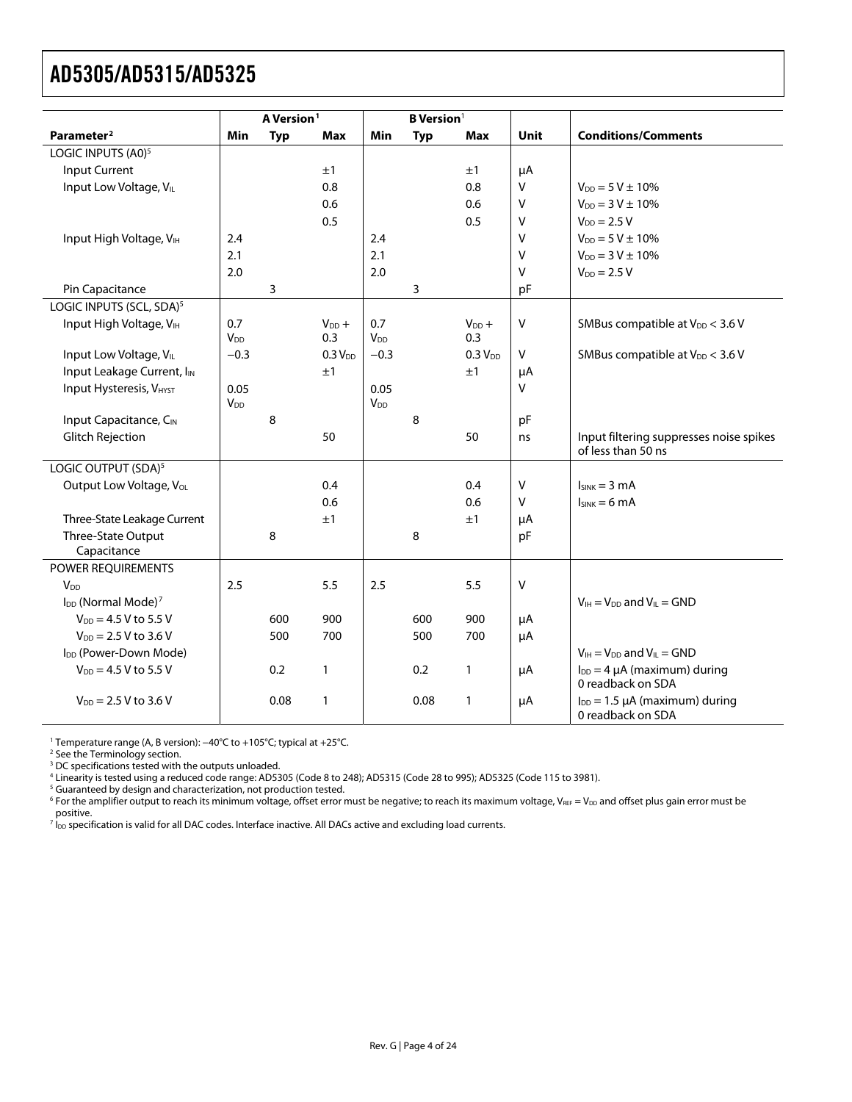<span id="page-3-0"></span>

|                                            |                               | A Version <sup>1</sup> |                     |                               | <b>B</b> Version <sup>1</sup> |                     |             |                                                               |
|--------------------------------------------|-------------------------------|------------------------|---------------------|-------------------------------|-------------------------------|---------------------|-------------|---------------------------------------------------------------|
| Parameter <sup>2</sup>                     | Min                           | <b>Typ</b>             | Max                 | Min                           | <b>Typ</b>                    | Max                 | <b>Unit</b> | <b>Conditions/Comments</b>                                    |
| LOGIC INPUTS (A0) <sup>5</sup>             |                               |                        |                     |                               |                               |                     |             |                                                               |
| <b>Input Current</b>                       |                               |                        | ±1                  |                               |                               | ±1                  | μA          |                                                               |
| Input Low Voltage, VLL                     |                               |                        | 0.8                 |                               |                               | 0.8                 | $\vee$      | $V_{DD} = 5 V \pm 10\%$                                       |
|                                            |                               |                        | 0.6                 |                               |                               | 0.6                 | v           | $V_{DD} = 3 V \pm 10\%$                                       |
|                                            |                               |                        | 0.5                 |                               |                               | 0.5                 | v           | $V_{DD} = 2.5 V$                                              |
| Input High Voltage, V <sub>IH</sub>        | 2.4                           |                        |                     | 2.4                           |                               |                     | v           | $V_{DD} = 5 V \pm 10\%$                                       |
|                                            | 2.1                           |                        |                     | 2.1                           |                               |                     | V           | $V_{DD} = 3 V \pm 10\%$                                       |
|                                            | 2.0                           |                        |                     | 2.0                           |                               |                     | V           | $V_{DD} = 2.5 V$                                              |
| Pin Capacitance                            |                               | 3                      |                     |                               | 3                             |                     | pF          |                                                               |
| LOGIC INPUTS (SCL, SDA) <sup>5</sup>       |                               |                        |                     |                               |                               |                     |             |                                                               |
| Input High Voltage, VIH                    | 0.7<br><b>V</b> <sub>DD</sub> |                        | $V_{DD}$ +<br>0.3   | 0.7<br><b>V</b> <sub>DD</sub> |                               | $V_{DD} +$<br>0.3   | $\sf V$     | SMBus compatible at $V_{DD}$ < 3.6 V                          |
| Input Low Voltage, VLL                     | $-0.3$                        |                        | 0.3 V <sub>DD</sub> | $-0.3$                        |                               | 0.3 V <sub>DD</sub> | $\sf V$     | SMBus compatible at V <sub>DD</sub> < 3.6 V                   |
| Input Leakage Current, IIN                 |                               |                        | ±1                  |                               |                               | ±1                  | μA          |                                                               |
| <b>Input Hysteresis, VHYST</b>             | 0.05<br>$V_{DD}$              |                        |                     | 0.05<br><b>V<sub>DD</sub></b> |                               |                     | $\vee$      |                                                               |
| Input Capacitance, CIN                     |                               | 8                      |                     |                               | 8                             |                     | pF          |                                                               |
| <b>Glitch Rejection</b>                    |                               |                        | 50                  |                               |                               | 50                  | ns          | Input filtering suppresses noise spikes<br>of less than 50 ns |
| LOGIC OUTPUT (SDA) <sup>5</sup>            |                               |                        |                     |                               |                               |                     |             |                                                               |
| Output Low Voltage, Vol.                   |                               |                        | 0.4                 |                               |                               | 0.4                 | $\sf V$     | $lsink = 3 mA$                                                |
|                                            |                               |                        | 0.6                 |                               |                               | 0.6                 | $\sf V$     | $lsink = 6 mA$                                                |
| Three-State Leakage Current                |                               |                        | ±1                  |                               |                               | ±1                  | μA          |                                                               |
| Three-State Output<br>Capacitance          |                               | 8                      |                     |                               | 8                             |                     | pF          |                                                               |
| POWER REQUIREMENTS                         |                               |                        |                     |                               |                               |                     |             |                                                               |
| <b>V<sub>DD</sub></b>                      | 2.5                           |                        | 5.5                 | 2.5                           |                               | 5.5                 | $\sf V$     |                                                               |
| I <sub>DD</sub> (Normal Mode) <sup>7</sup> |                               |                        |                     |                               |                               |                     |             | $V_{IH} = V_{DD}$ and $V_{IL} = GND$                          |
| $V_{DD} = 4.5 V$ to 5.5 V                  |                               | 600                    | 900                 |                               | 600                           | 900                 | μA          |                                                               |
| $V_{DD} = 2.5 V$ to 3.6 V                  |                               | 500                    | 700                 |                               | 500                           | 700                 | μA          |                                                               |
| I <sub>DD</sub> (Power-Down Mode)          |                               |                        |                     |                               |                               |                     |             | $V_{IH} = V_{DD}$ and $V_{IL} = GND$                          |
| $V_{DD} = 4.5 V$ to 5.5 V                  |                               | 0.2                    | $\mathbf{1}$        |                               | 0.2                           | 1                   | μA          | $I_{DD} = 4 \mu A$ (maximum) during<br>0 readback on SDA      |
| $V_{DD} = 2.5 V to 3.6 V$                  |                               | 0.08                   | $\mathbf{1}$        |                               | 0.08                          | 1                   | μA          | $I_{DD} = 1.5 \mu A$ (maximum) during<br>0 readback on SDA    |

<sup>1</sup> Temperature range (A, B version): –40°C to +105°C; typical at +25°C.<br><sup>2</sup> See the Terminology section.<br><sup>3</sup> DC specifications tested with the outputs unloaded.<br><sup>4</sup> Linearity is tested using a reduced code range: AD5305 (

<sup>5</sup> Guaranteed by design and characterization, not production tested.

 $^6$  For the amplifier output to reach its minimum voltage, offset error must be negative; to reach its maximum voltage, V $_{\tt{REF}}$  V $_{\tt{DD}}$  and offset plus gain error must be

positive.<br><sup>7</sup> l<sub>oo</sub> specification is valid for all DAC codes. Interface inactive. All DACs active and excluding load currents.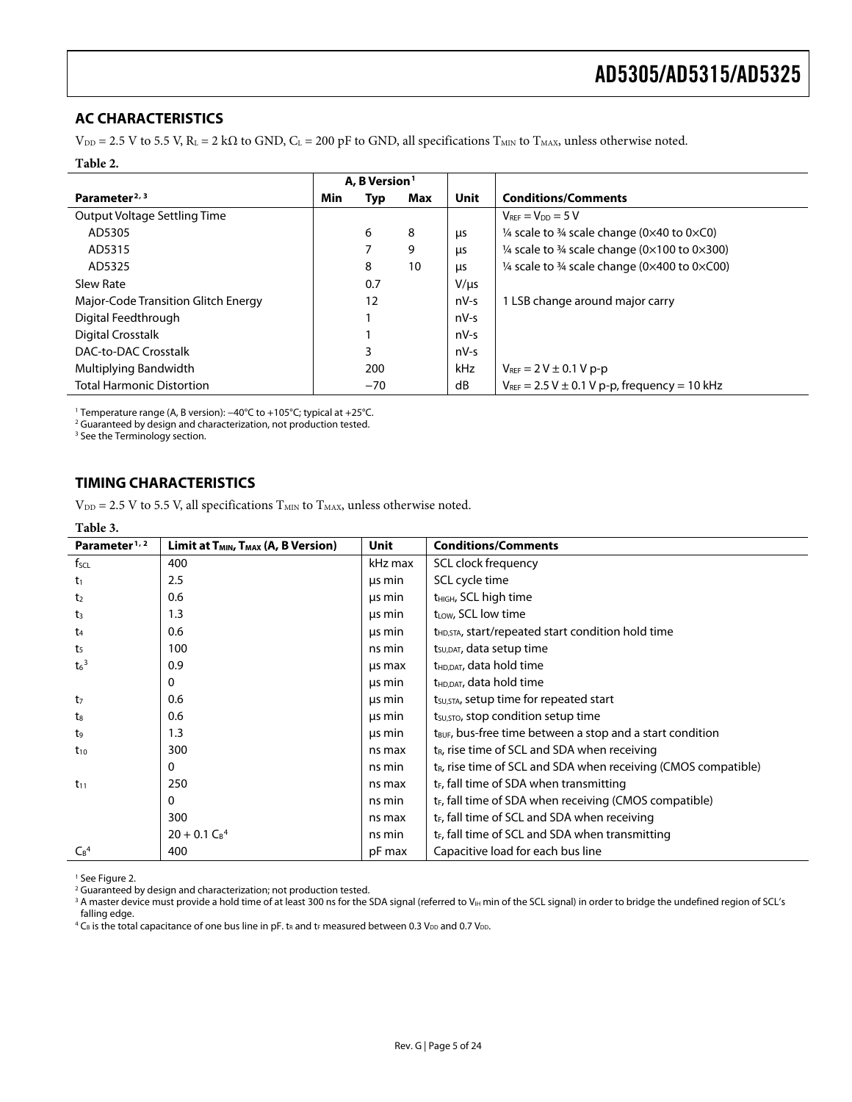### <span id="page-4-0"></span>**AC CHARACTERISTICS**

 $V_{DD} = 2.5$  V to 5.5 V,  $R_L = 2$  k $\Omega$  to GND,  $C_L = 200$  pF to GND, all specifications T<sub>MIN</sub> to T<sub>MAX</sub>, unless otherwise noted.

#### **Table 2.**

|                                     | A, B Version <sup>1</sup> |       |     |            |                                                                    |  |
|-------------------------------------|---------------------------|-------|-----|------------|--------------------------------------------------------------------|--|
| Parameter <sup>2, 3</sup>           | Min                       | Typ   | Max | Unit       | <b>Conditions/Comments</b>                                         |  |
| Output Voltage Settling Time        |                           |       |     |            | $V_{REF} = V_{DD} = 5 V$                                           |  |
| AD5305                              |                           | 6     | 8   | μs         | $\frac{1}{4}$ scale to $\frac{3}{4}$ scale change (0x40 to 0xC0)   |  |
| AD5315                              |                           |       | 9   | μs         | 1/4 scale to 3/4 scale change ( $0 \times 100$ to $0 \times 300$ ) |  |
| AD5325                              |                           | 8     | 10  | <b>LIS</b> | 1/4 scale to 3/4 scale change ( $0 \times 400$ to $0 \times C00$ ) |  |
| Slew Rate                           |                           | 0.7   |     | $V/\mu s$  |                                                                    |  |
| Major-Code Transition Glitch Energy |                           | 12    |     | $nV-S$     | 1 LSB change around major carry                                    |  |
| Digital Feedthrough                 |                           |       |     | $nV-S$     |                                                                    |  |
| Digital Crosstalk                   |                           |       |     | $nV-S$     |                                                                    |  |
| DAC-to-DAC Crosstalk                |                           | 3     |     | nV-s       |                                                                    |  |
| Multiplying Bandwidth               |                           | 200   |     | kHz        | $V_{\text{REF}} = 2 V \pm 0.1 V p - p$                             |  |
| <b>Total Harmonic Distortion</b>    |                           | $-70$ |     | dB         | $V_{REF}$ = 2.5 V $\pm$ 0.1 V p-p, frequency = 10 kHz              |  |

1 Temperature range (A, B version): −40°C to +105°C; typical at +25°C. 2

<sup>2</sup> Guaranteed by design and characterization, not production tested.

<sup>3</sup> See the Terminology section.

## **TIMING CHARACTERISTICS**

 $V_{DD} = 2.5$  V to 5.5 V, all specifications  $T_{MIN}$  to  $T_{MAX}$ , unless otherwise noted.

#### **Table 3.**

| Parameter <sup>1, 2</sup> | Limit at $T_{MIN}$ , $T_{MAX}$ (A, B Version) | Unit    | <b>Conditions/Comments</b>                                            |
|---------------------------|-----------------------------------------------|---------|-----------------------------------------------------------------------|
| $f_{\text{SCL}}$          | 400                                           | kHz max | SCL clock frequency                                                   |
| $t_1$                     | 2.5                                           | us min  | SCL cycle time                                                        |
| t <sub>2</sub>            | 0.6                                           | us min  | t <sub>HIGH</sub> , SCL high time                                     |
| $t_3$                     | 1.3                                           | us min  | t <sub>LOW</sub> , SCL low time                                       |
| t <sub>4</sub>            | 0.6                                           | us min  | t <sub>HD,STA</sub> , start/repeated start condition hold time        |
| t <sub>5</sub>            | 100                                           | ns min  | $t_{\text{SUDAT}}$ , data setup time                                  |
| $t6$ <sup>3</sup>         | 0.9                                           | us max  | t <sub>HD,DAT</sub> , data hold time                                  |
|                           | 0                                             | us min  | t <sub>HD,DAT</sub> , data hold time                                  |
| t <sub>7</sub>            | 0.6                                           | us min  | t <sub>su, STA</sub> , setup time for repeated start                  |
| $t_{8}$                   | 0.6                                           | us min  | t <sub>su, STO</sub> , stop condition setup time                      |
| t <sub>9</sub>            | 1.3                                           | us min  | t <sub>BUF</sub> , bus-free time between a stop and a start condition |
| $t_{10}$                  | 300                                           | ns max  | $t_{R}$ , rise time of SCL and SDA when receiving                     |
|                           | 0                                             | ns min  | $t_R$ , rise time of SCL and SDA when receiving (CMOS compatible)     |
| $t_{11}$                  | 250                                           | ns max  | $t_F$ , fall time of SDA when transmitting                            |
|                           | $\mathbf{0}$                                  | ns min  | t <sub>F</sub> , fall time of SDA when receiving (CMOS compatible)    |
|                           | 300                                           | ns max  | $t_F$ , fall time of SCL and SDA when receiving                       |
|                           | $20 + 0.1 C_B^4$                              | ns min  | $t_F$ , fall time of SCL and SDA when transmitting                    |
| $C_B^4$                   | 400                                           | pF max  | Capacitive load for each bus line                                     |

<sup>1</sup> Se[e Figure 2](#page-5-0).

2 Guaranteed by design and characterization; not production tested.

 $^3$  A master device must provide a hold time of at least 300 ns for the SDA signal (referred to VIH min of the SCL signal) in order to bridge the undefined region of SCL's falling edge.

 $^4$  C<sub>B</sub> is the total capacitance of one bus line in pF. t<sub>R</sub> and t<sub>F</sub> measured between 0.3 V<sub>DD</sub> and 0.7 V<sub>DD</sub>.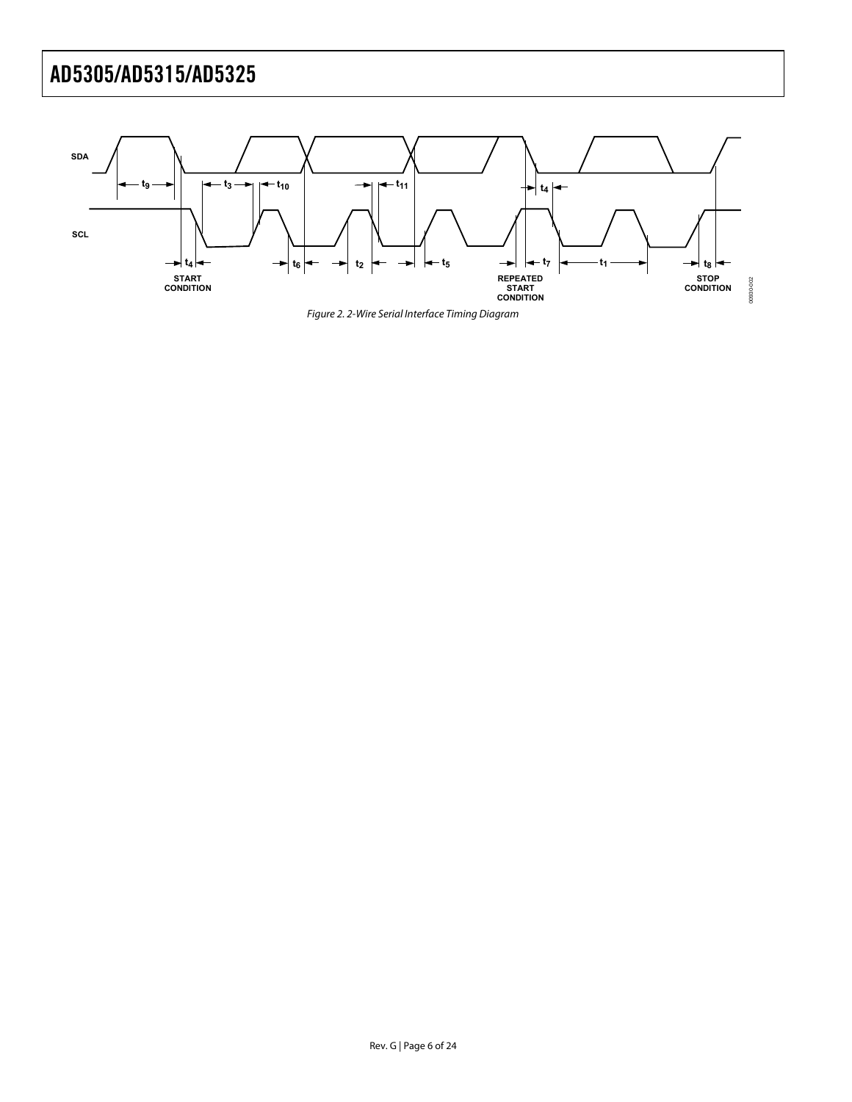<span id="page-5-1"></span><span id="page-5-0"></span>

Figure 2. 2-Wire Serial Interface Timing Diagram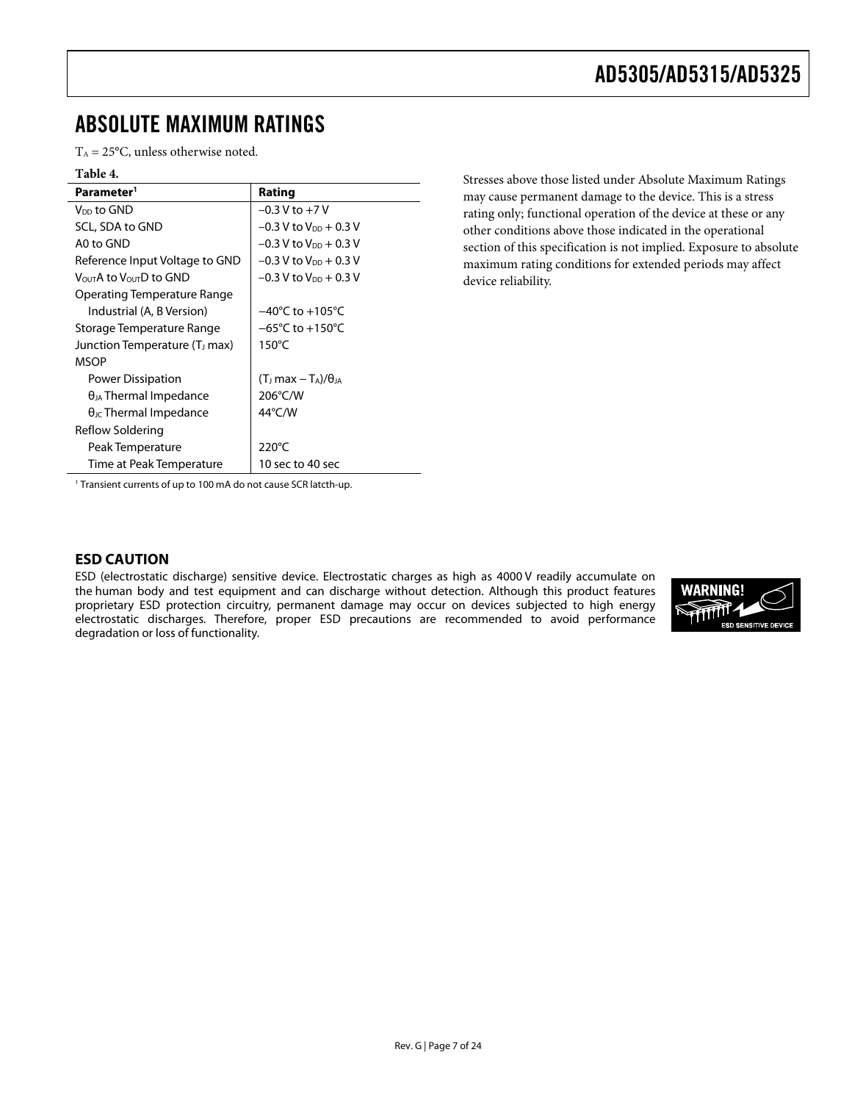## <span id="page-6-0"></span>ABSOLUTE MAXIMUM RATINGS

 $T_A = 25$ °C, unless otherwise noted.

#### **Table 4.**

| Parameter <sup>1</sup>                          | Rating                                |
|-------------------------------------------------|---------------------------------------|
| V <sub>DD</sub> to GND                          | $-0.3$ V to $+7$ V                    |
| SCL, SDA to GND                                 | $-0.3$ V to V <sub>DD</sub> + 0.3 V   |
| A0 to GND                                       | $-0.3$ V to V <sub>DD</sub> + 0.3 V   |
| Reference Input Voltage to GND                  | $-0.3$ V to V <sub>DD</sub> + 0.3 V   |
| V <sub>OUT</sub> A to V <sub>OUT</sub> D to GND | $-0.3$ V to V <sub>DD</sub> $+0.3$ V  |
| Operating Temperature Range                     |                                       |
| Industrial (A, B Version)                       | $-40^{\circ}$ C to $+105^{\circ}$ C   |
| Storage Temperature Range                       | –65°C to +150°C                       |
| Junction Temperature (T <sub>J</sub> max)       | $150^{\circ}$ C                       |
| <b>MSOP</b>                                     |                                       |
| Power Dissipation                               | $(T_J \text{ max} - T_A)/\theta_{JA}$ |
| $\theta_{JA}$ Thermal Impedance                 | 206°C/W                               |
| $\theta_{\text{JC}}$ Thermal Impedance          | 44°C/W                                |
| Reflow Soldering                                |                                       |
| Peak Temperature                                | $220^{\circ}$ C                       |
| Time at Peak Temperature                        | 10 sec to 40 sec                      |

Stresses above those listed under Absolute Maximum Ratings may cause permanent damage to the device. This is a stress rating only; functional operation of the device at these or any other conditions above those indicated in the operational section of this specification is not implied. Exposure to absolute maximum rating conditions for extended periods may affect device reliability.

<sup>1</sup> Transient currents of up to 100 mA do not cause SCR latcth-up.

#### **ESD CAUTION**

ESD (electrostatic discharge) sensitive device. Electrostatic charges as high as 4000 V readily accumulate on the human body and test equipment and can discharge without detection. Although this product features proprietary ESD protection circuitry, permanent damage may occur on devices subjected to high energy electrostatic discharges. Therefore, proper ESD precautions are recommended to avoid performance degradation or loss of functionality.

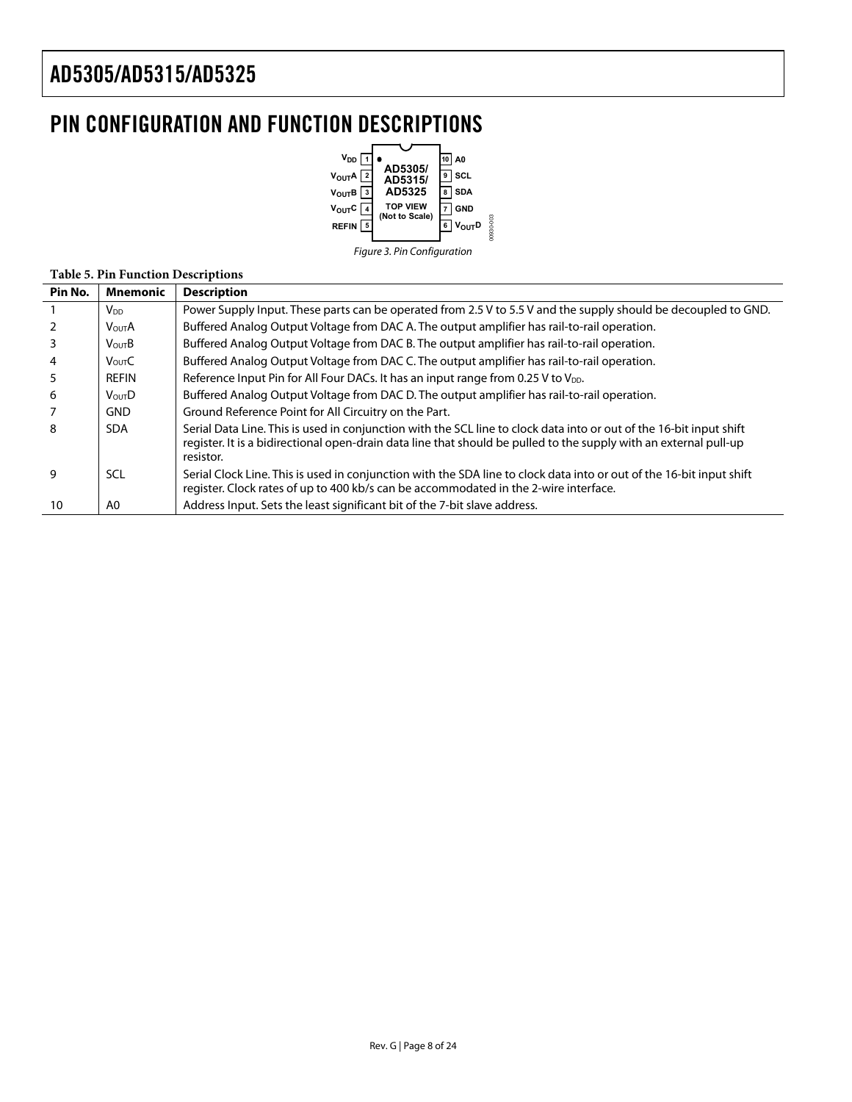## <span id="page-7-0"></span>PIN CONFIGURATION AND FUNCTION DESCRIPTIONS



#### **Table 5. Pin Function Descriptions**

| Pin No. | Mnemonic          | <b>Description</b>                                                                                                                                                                                                                                    |
|---------|-------------------|-------------------------------------------------------------------------------------------------------------------------------------------------------------------------------------------------------------------------------------------------------|
|         | $V_{DD}$          | Power Supply Input. These parts can be operated from 2.5 V to 5.5 V and the supply should be decoupled to GND.                                                                                                                                        |
|         | <b>VOUTA</b>      | Buffered Analog Output Voltage from DAC A. The output amplifier has rail-to-rail operation.                                                                                                                                                           |
|         | $V_{\text{OUT}}B$ | Buffered Analog Output Voltage from DAC B. The output amplifier has rail-to-rail operation.                                                                                                                                                           |
| 4       | Vour <sub>C</sub> | Buffered Analog Output Voltage from DAC C. The output amplifier has rail-to-rail operation.                                                                                                                                                           |
|         | REFIN             | Reference Input Pin for All Four DACs. It has an input range from 0.25 V to V <sub>DD</sub> .                                                                                                                                                         |
| 6       | VourD             | Buffered Analog Output Voltage from DAC D. The output amplifier has rail-to-rail operation.                                                                                                                                                           |
|         | <b>GND</b>        | Ground Reference Point for All Circuitry on the Part.                                                                                                                                                                                                 |
| 8       | <b>SDA</b>        | Serial Data Line. This is used in conjunction with the SCL line to clock data into or out of the 16-bit input shift<br>register. It is a bidirectional open-drain data line that should be pulled to the supply with an external pull-up<br>resistor. |
| 9       | SCL               | Serial Clock Line. This is used in conjunction with the SDA line to clock data into or out of the 16-bit input shift<br>register. Clock rates of up to 400 kb/s can be accommodated in the 2-wire interface.                                          |
| 10      | A0                | Address Input. Sets the least significant bit of the 7-bit slave address.                                                                                                                                                                             |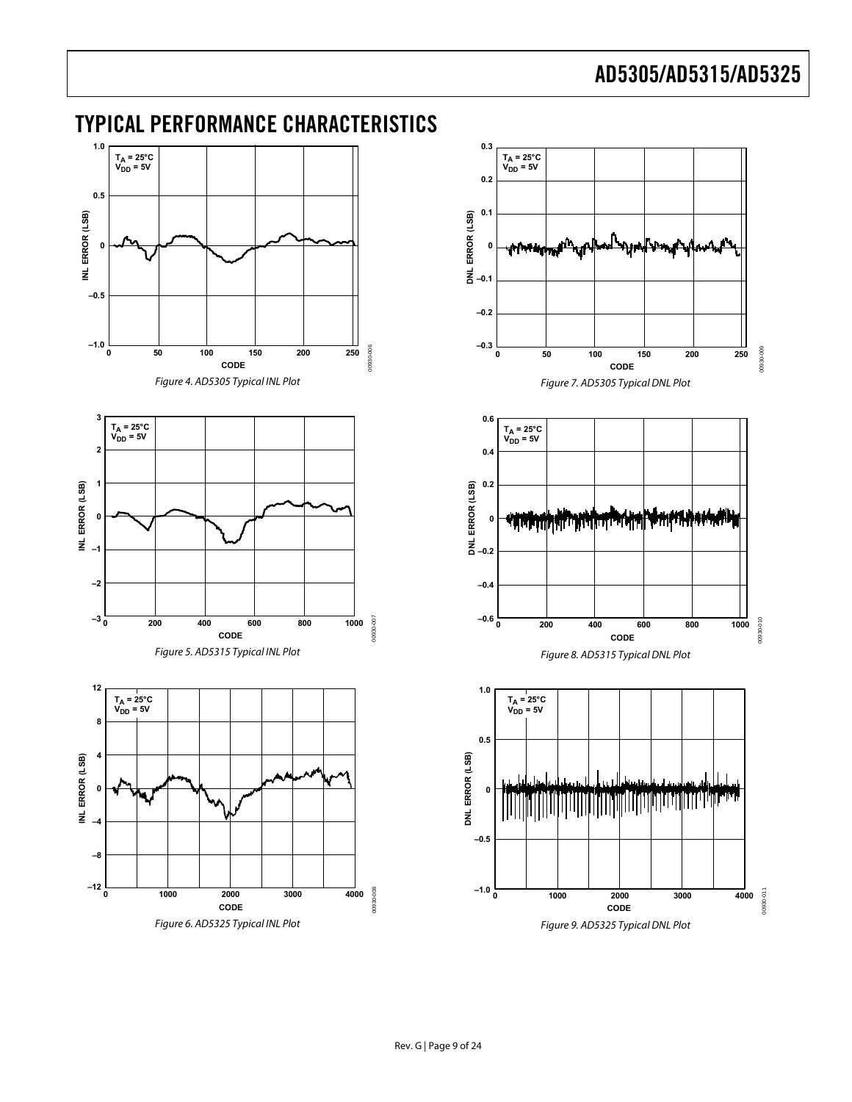## <span id="page-8-0"></span>TYPICAL PERFORMANCE CHARACTERISTICS

<span id="page-8-6"></span><span id="page-8-5"></span><span id="page-8-4"></span><span id="page-8-3"></span><span id="page-8-2"></span><span id="page-8-1"></span>

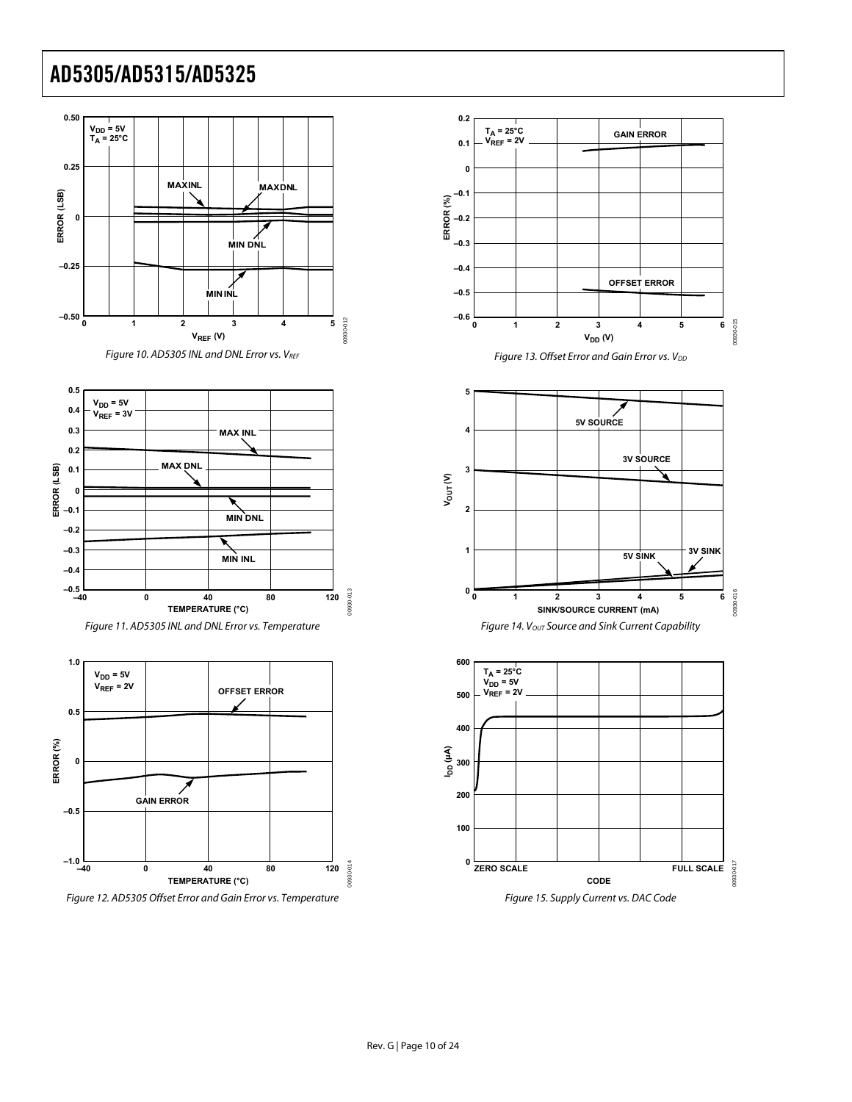





<span id="page-9-0"></span>





Figure 13. Offset Error and Gain Error vs.  $V_{DD}$ 







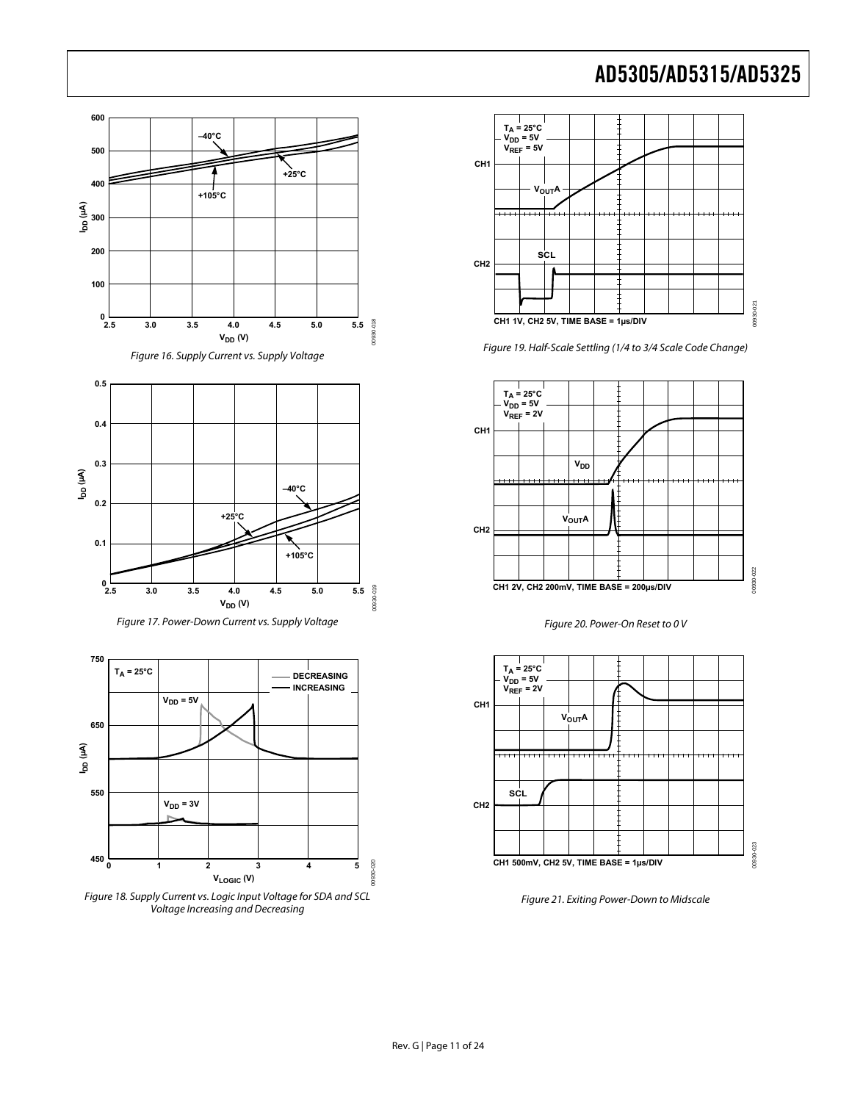







<span id="page-10-0"></span>Figure 18. Supply Current vs. Logic Input Voltage for SDA and SCL Voltage Increasing and Decreasing



Figure 19. Half-Scale Settling (1/4 to 3/4 Scale Code Change)







Figure 21. Exiting Power-Down to Midscale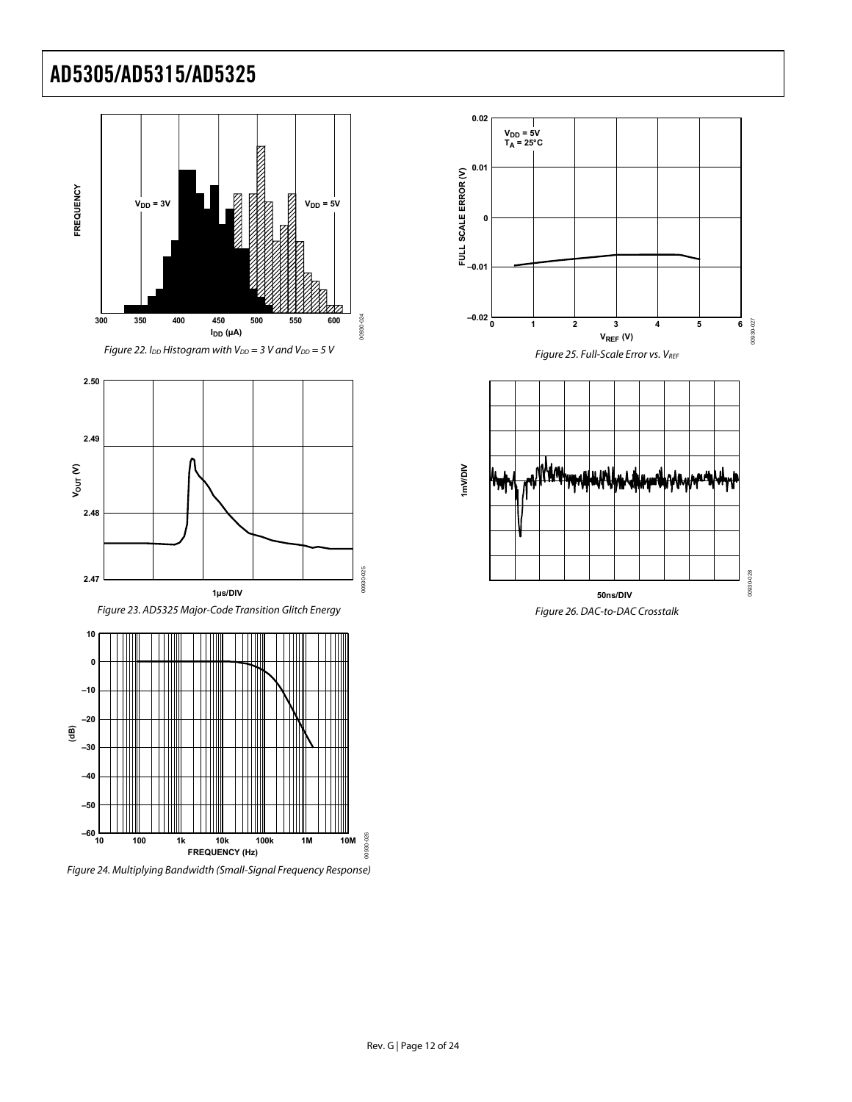





Figure 23. AD5325 Major-Code Transition Glitch Energy



Figure 24. Multiplying Bandwidth (Small-Signal Frequency Response)





Figure 26. DAC-to-DAC Crosstalk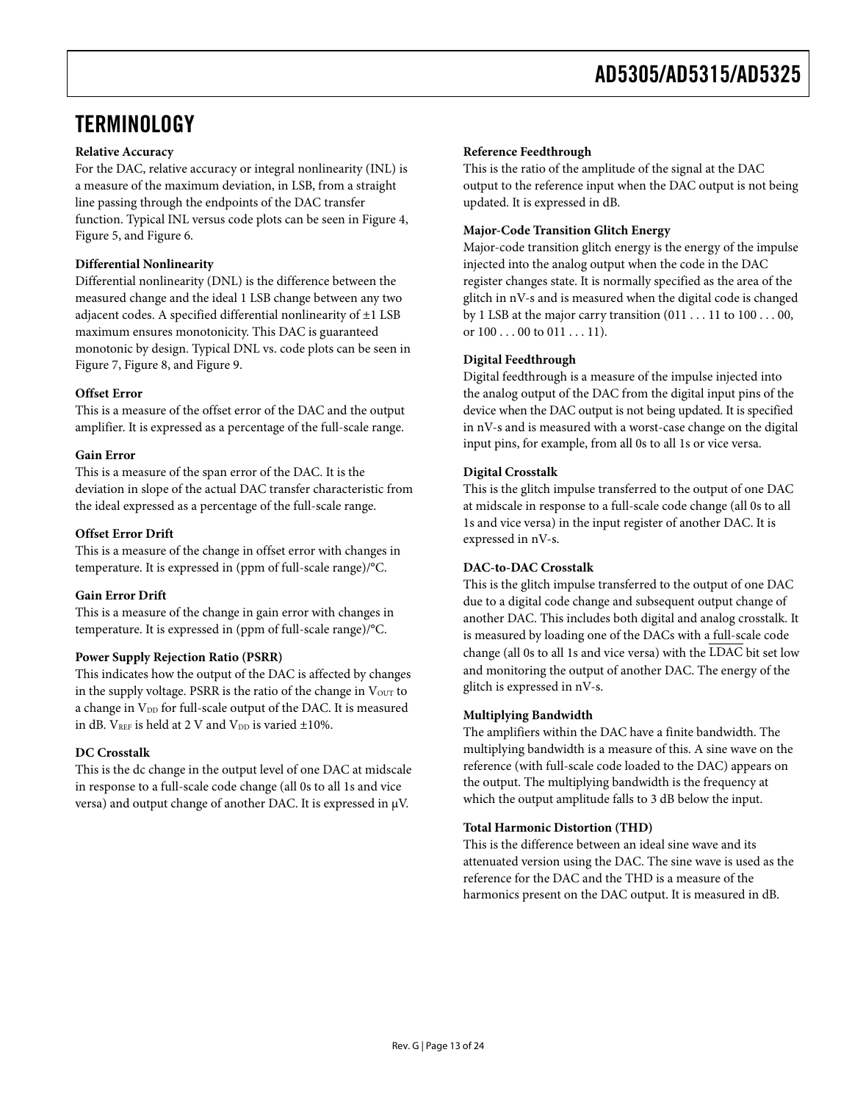## <span id="page-12-0"></span>**TERMINOLOGY**

#### **Relative Accuracy**

For the DAC, relative accuracy or integral nonlinearity (INL) is a measure of the maximum deviation, in LSB, from a straight line passing through the endpoints of the DAC transfer function. Typical INL versus code plots can be seen in [Figure 4](#page-8-1), [Figure 5](#page-8-2), and [Figure 6.](#page-8-3)

#### **Differential Nonlinearity**

Differential nonlinearity (DNL) is the difference between the measured change and the ideal 1 LSB change between any two adjacent codes. A specified differential nonlinearity of ±1 LSB maximum ensures monotonicity. This DAC is guaranteed monotonic by design. Typical DNL vs. code plots can be seen in [Figure 7](#page-8-4), [Figure 8](#page-8-5), and [Figure 9](#page-8-6).

#### **Offset Error**

This is a measure of the offset error of the DAC and the output amplifier. It is expressed as a percentage of the full-scale range.

#### **Gain Error**

This is a measure of the span error of the DAC. It is the deviation in slope of the actual DAC transfer characteristic from the ideal expressed as a percentage of the full-scale range.

#### **Offset Error Drift**

This is a measure of the change in offset error with changes in temperature. It is expressed in (ppm of full-scale range)/°C.

### **Gain Error Drift**

This is a measure of the change in gain error with changes in temperature. It is expressed in (ppm of full-scale range)/°C.

#### **Power Supply Rejection Ratio (PSRR)**

This indicates how the output of the DAC is affected by changes in the supply voltage. PSRR is the ratio of the change in  $V<sub>OUT</sub>$  to a change in V<sub>DD</sub> for full-scale output of the DAC. It is measured in dB.  $V_{REF}$  is held at 2 V and  $V_{DD}$  is varied  $\pm 10\%$ .

#### **DC Crosstalk**

This is the dc change in the output level of one DAC at midscale in response to a full-scale code change (all 0s to all 1s and vice versa) and output change of another DAC. It is expressed in μV.

#### **Reference Feedthrough**

This is the ratio of the amplitude of the signal at the DAC output to the reference input when the DAC output is not being updated. It is expressed in dB.

#### **Major-Code Transition Glitch Energy**

Major-code transition glitch energy is the energy of the impulse injected into the analog output when the code in the DAC register changes state. It is normally specified as the area of the glitch in nV-s and is measured when the digital code is changed by 1 LSB at the major carry transition (011 . . . 11 to 100 . . . 00, or  $100...00$  to  $011...11$ .

#### **Digital Feedthrough**

Digital feedthrough is a measure of the impulse injected into the analog output of the DAC from the digital input pins of the device when the DAC output is not being updated. It is specified in nV-s and is measured with a worst-case change on the digital input pins, for example, from all 0s to all 1s or vice versa.

#### **Digital Crosstalk**

This is the glitch impulse transferred to the output of one DAC at midscale in response to a full-scale code change (all 0s to all 1s and vice versa) in the input register of another DAC. It is expressed in nV-s.

#### **DAC-to-DAC Crosstalk**

This is the glitch impulse transferred to the output of one DAC due to a digital code change and subsequent output change of another DAC. This includes both digital and analog crosstalk. It is measured by loading one of the DACs with a full-scale code change (all 0s to all 1s and vice versa) with the LDAC bit set low and monitoring the output of another DAC. The energy of the glitch is expressed in nV-s.

#### **Multiplying Bandwidth**

The amplifiers within the DAC have a finite bandwidth. The multiplying bandwidth is a measure of this. A sine wave on the reference (with full-scale code loaded to the DAC) appears on the output. The multiplying bandwidth is the frequency at which the output amplitude falls to 3 dB below the input.

#### **Total Harmonic Distortion (THD)**

This is the difference between an ideal sine wave and its attenuated version using the DAC. The sine wave is used as the reference for the DAC and the THD is a measure of the harmonics present on the DAC output. It is measured in dB.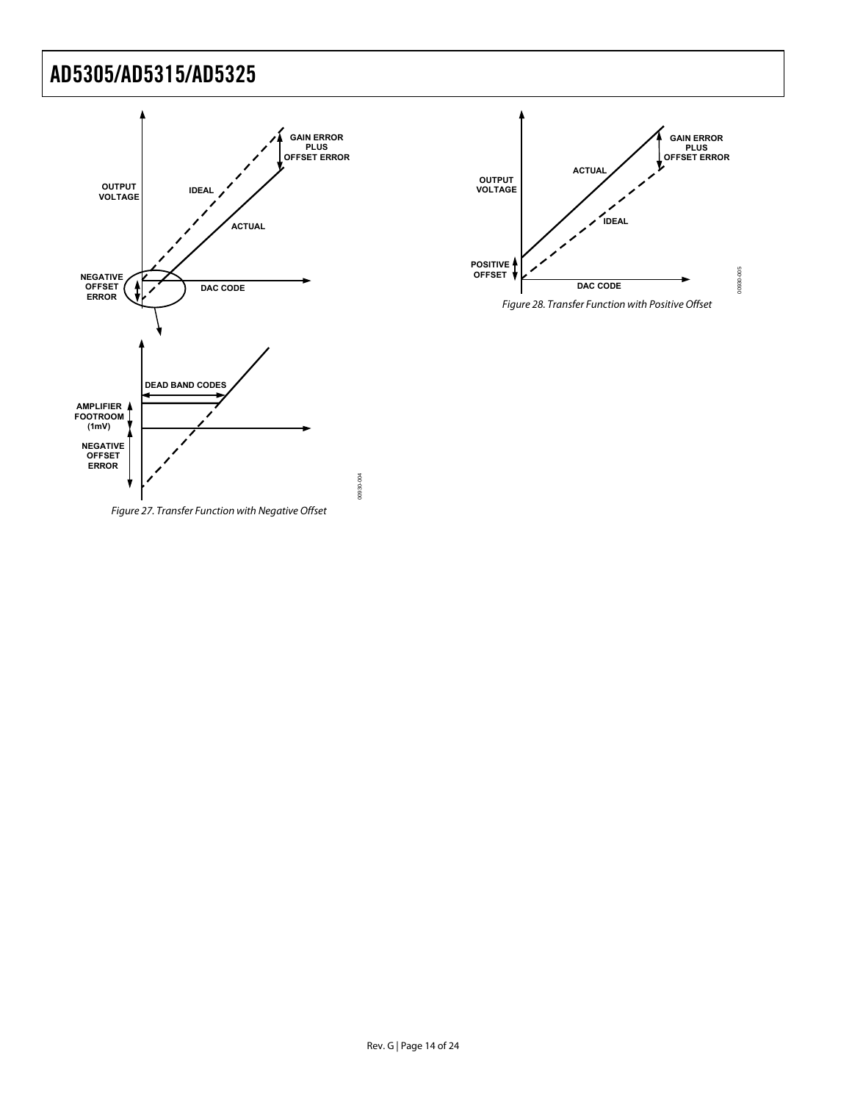



Figure 28. Transfer Function with Positive Offset

Figure 27. Transfer Function with Negative Offset

00930-004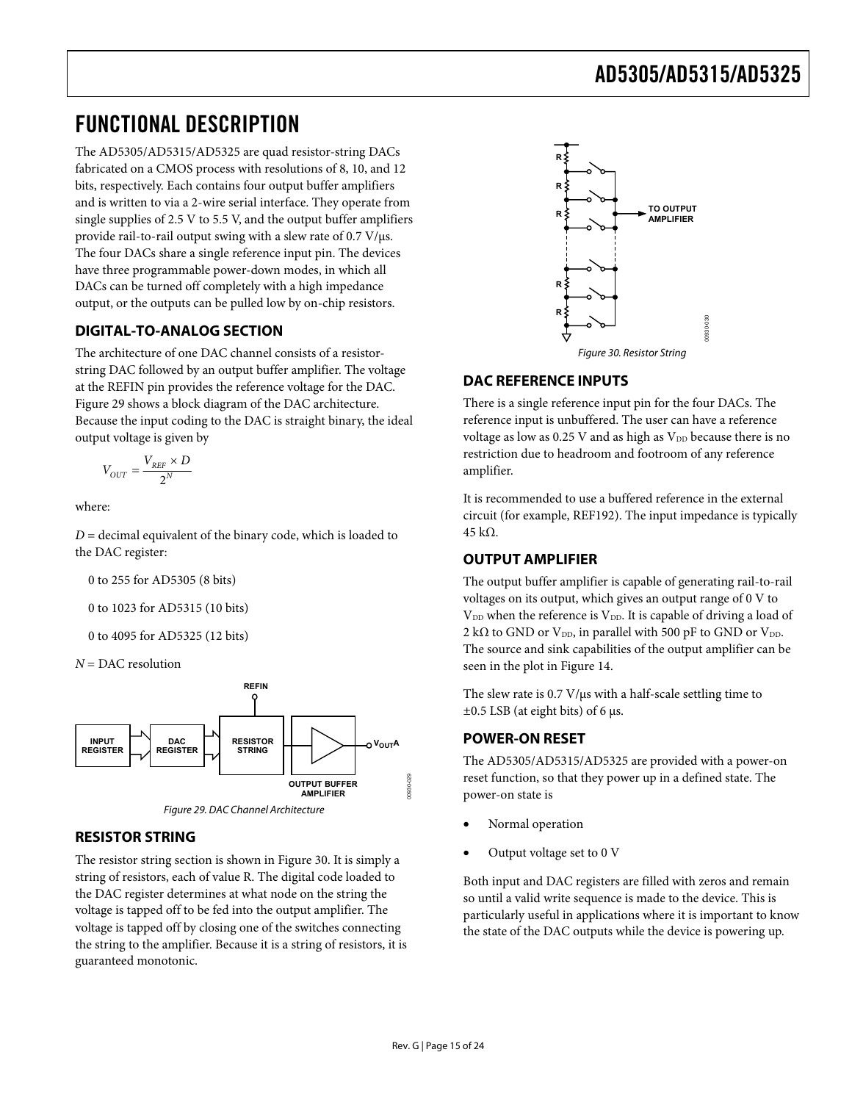## <span id="page-14-0"></span>FUNCTIONAL DESCRIPTION

The AD5305/AD5315/AD5325 are quad resistor-string DACs fabricated on a CMOS process with resolutions of 8, 10, and 12 bits, respectively. Each contains four output buffer amplifiers and is written to via a 2-wire serial interface. They operate from single supplies of 2.5 V to 5.5 V, and the output buffer amplifiers provide rail-to-rail output swing with a slew rate of 0.7 V/μs. The four DACs share a single reference input pin. The devices have three programmable power-down modes, in which all DACs can be turned off completely with a high impedance output, or the outputs can be pulled low by on-chip resistors.

## **DIGITAL-TO-ANALOG SECTION**

<span id="page-14-2"></span>The architecture of one DAC channel consists of a resistorstring DAC followed by an output buffer amplifier. The voltage at the REFIN pin provides the reference voltage for the DAC. [Figure 29](#page-14-1) shows a block diagram of the DAC architecture. Because the input coding to the DAC is straight binary, the ideal output voltage is given by

$$
V_{OUT} = \frac{V_{REF} \times D}{2^N}
$$

where:

*D* = decimal equivalent of the binary code, which is loaded to the DAC register:

0 to 255 for AD5305 (8 bits)

0 to 1023 for AD5315 (10 bits)

0 to 4095 for AD5325 (12 bits)

*N* = DAC resolution





## <span id="page-14-1"></span>**RESISTOR STRING**

The resistor string section is shown in [Figure 30](#page-14-2). It is simply a string of resistors, each of value R. The digital code loaded to the DAC register determines at what node on the string the voltage is tapped off to be fed into the output amplifier. The voltage is tapped off by closing one of the switches connecting the string to the amplifier. Because it is a string of resistors, it is guaranteed monotonic.



## **DAC REFERENCE INPUTS**

There is a single reference input pin for the four DACs. The reference input is unbuffered. The user can have a reference voltage as low as  $0.25$  V and as high as  $V_{DD}$  because there is no restriction due to headroom and footroom of any reference amplifier.

It is recommended to use a buffered reference in the external circuit (for example, REF192). The input impedance is typically 45 kΩ.

## **OUTPUT AMPLIFIER**

The output buffer amplifier is capable of generating rail-to-rail voltages on its output, which gives an output range of 0 V to V<sub>DD</sub> when the reference is V<sub>DD</sub>. It is capable of driving a load of 2 k $\Omega$  to GND or V<sub>DD</sub>, in parallel with 500 pF to GND or V<sub>DD</sub>. The source and sink capabilities of the output amplifier can be seen in the plot in [Figure 14.](#page-9-0)

The slew rate is 0.7 V/μs with a half-scale settling time to  $\pm 0.5$  LSB (at eight bits) of 6 μs.

## **POWER-ON RESET**

The AD5305/AD5315/AD5325 are provided with a power-on reset function, so that they power up in a defined state. The power-on state is

- Normal operation
- Output voltage set to 0 V

Both input and DAC registers are filled with zeros and remain so until a valid write sequence is made to the device. This is particularly useful in applications where it is important to know the state of the DAC outputs while the device is powering up.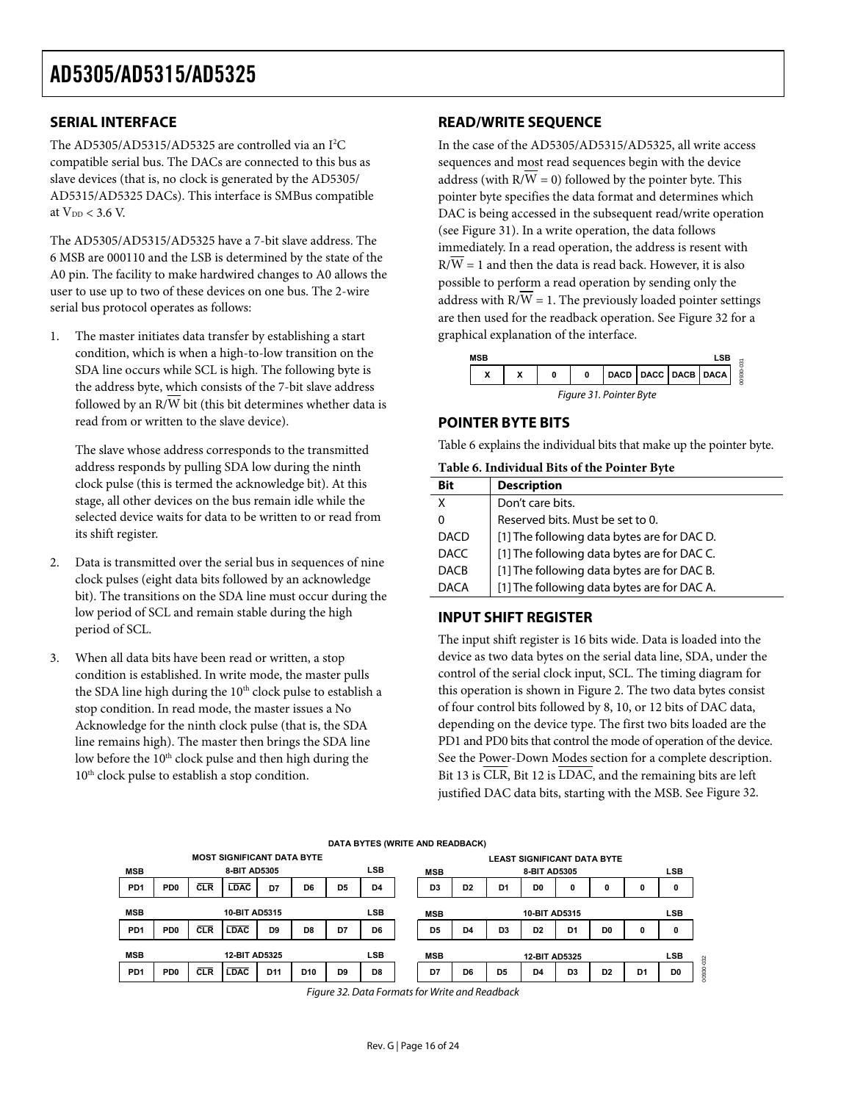### <span id="page-15-0"></span>**SERIAL INTERFACE**

The AD5305/AD5315/AD5325 are controlled via an I<sup>2</sup>C compatible serial bus. The DACs are connected to this bus as slave devices (that is, no clock is generated by the AD5305/ AD5315/AD5325 DACs). This interface is SMBus compatible at  $V_{DD}$  < 3.6 V.

The AD5305/AD5315/AD5325 have a 7-bit slave address. The 6 MSB are 000110 and the LSB is determined by the state of the A0 pin. The facility to make hardwired changes to A0 allows the user to use up to two of these devices on one bus. The 2-wire serial bus protocol operates as follows:

<span id="page-15-1"></span>1. The master initiates data transfer by establishing a start condition, which is when a high-to-low transition on the SDA line occurs while SCL is high. The following byte is the address byte, which consists of the 7-bit slave address followed by an R/W bit (this bit determines whether data is read from or written to the slave device).

<span id="page-15-3"></span>The slave whose address corresponds to the transmitted address responds by pulling SDA low during the ninth clock pulse (this is termed the acknowledge bit). At this stage, all other devices on the bus remain idle while the selected device waits for data to be written to or read from its shift register.

- 2. Data is transmitted over the serial bus in sequences of nine clock pulses (eight data bits followed by an acknowledge bit). The transitions on the SDA line must occur during the low period of SCL and remain stable during the high period of SCL.
- 3. When all data bits have been read or written, a stop condition is established. In write mode, the master pulls the SDA line high during the 10<sup>th</sup> clock pulse to establish a stop condition. In read mode, the master issues a No Acknowledge for the ninth clock pulse (that is, the SDA line remains high). The master then brings the SDA line low before the 10<sup>th</sup> clock pulse and then high during the 10<sup>th</sup> clock pulse to establish a stop condition.

### **READ/WRITE SEQUENCE**

In the case of the AD5305/AD5315/AD5325, all write access sequences and most read sequences begin with the device address (with  $R/\overline{W} = 0$ ) followed by the pointer byte. This pointer byte specifies the data format and determines which DAC is being accessed in the subsequent read/write operation (see [Figure 31\)](#page-15-1). In a write operation, the data follows immediately. In a read operation, the address is resent with  $R/W = 1$  and then the data is read back. However, it is also possible to perform a read operation by sending only the address with  $R/\overline{W} = 1$ . The previously loaded pointer settings are then used for the readback operation. See [Figure 32](#page-15-2) for a graphical explanation of the interface.



### **POINTER BYTE BITS**

[Table 6](#page-15-3) explains the individual bits that make up the pointer byte.

#### **Table 6. Individual Bits of the Pointer Byte**

| Bit         | <b>Description</b>                          |
|-------------|---------------------------------------------|
| x           | Don't care bits.                            |
| 0           | Reserved bits. Must be set to 0.            |
| <b>DACD</b> | [1] The following data bytes are for DAC D. |
| <b>DACC</b> | [1] The following data bytes are for DAC C. |
| <b>DACB</b> | [1] The following data bytes are for DAC B. |
| <b>DACA</b> | [1] The following data bytes are for DAC A. |

### **INPUT SHIFT REGISTER**

The input shift register is 16 bits wide. Data is loaded into the device as two data bytes on the serial data line, SDA, under the control of the serial clock input, SCL. The timing diagram for this operation is shown in [Figure 2](#page-5-1). The two data bytes consist of four control bits followed by 8, 10, or 12 bits of DAC data, depending on the device type. The first two bits loaded are the PD1 and PD0 bits that control the mode of operation of the device. See the [Power-Down Modes](#page-17-1) section for a complete description. Bit 13 is  $\overline{\text{CLR}}$ , Bit 12 is  $\overline{\text{LDAC}}$ , and the remaining bits are left justified DAC data bits, starting with the MSB. See [Figure 32](#page-15-2).

<span id="page-15-2"></span>

| DATA BYTES (WRITE AND READBACK)                                                 |                            |            |             |                 |                 |                |                |  |                |                |                |                                    |                |                |                |                |       |
|---------------------------------------------------------------------------------|----------------------------|------------|-------------|-----------------|-----------------|----------------|----------------|--|----------------|----------------|----------------|------------------------------------|----------------|----------------|----------------|----------------|-------|
| <b>MOST SIGNIFICANT DATA BYTE</b>                                               |                            |            |             |                 |                 |                |                |  |                |                |                | <b>LEAST SIGNIFICANT DATA BYTE</b> |                |                |                |                |       |
| <b>MSB</b>                                                                      | <b>LSB</b><br>8-BIT AD5305 |            |             |                 |                 |                | <b>MSB</b>     |  |                | 8-BIT AD5305   |                |                                    |                | <b>LSB</b>     |                |                |       |
| PD <sub>1</sub>                                                                 | PD <sub>0</sub>            | <b>CLR</b> | <b>LDAC</b> | D7              | D6              | D <sub>5</sub> | D <sub>4</sub> |  | D <sub>3</sub> | D <sub>2</sub> | D <sub>1</sub> | D <sub>0</sub>                     | 0              | 0              | 0              | 0              |       |
| <b>LSB</b><br>10-BIT AD5315<br><b>MSB</b>                                       |                            |            |             |                 |                 | <b>MSB</b>     |                |  | 10-BIT AD5315  |                |                |                                    | <b>LSB</b>     |                |                |                |       |
| PD <sub>1</sub>                                                                 | PD <sub>0</sub>            | <b>CLR</b> | <b>LDAC</b> | D <sub>9</sub>  | D8              | D7             | D <sub>6</sub> |  | D <sub>5</sub> | D <sub>4</sub> | D <sub>3</sub> | D <sub>2</sub>                     | D <sub>1</sub> | D <sub>0</sub> | 0              | 0              |       |
| <b>MSB</b><br><b>LSB</b><br>12-BIT AD5325<br><b>MSB</b><br><b>12-BIT AD5325</b> |                            |            |             |                 |                 |                |                |  |                | <b>LSB</b>     | 032            |                                    |                |                |                |                |       |
| PD <sub>1</sub>                                                                 | PD <sub>0</sub>            | <b>CLR</b> | <b>LDAC</b> | D <sub>11</sub> | D <sub>10</sub> | D <sub>9</sub> | D <sub>8</sub> |  | D7             | D6             | D <sub>5</sub> | D <sub>4</sub>                     | D <sub>3</sub> | D <sub>2</sub> | D <sub>1</sub> | D <sub>0</sub> | 0930- |

Figure 32. Data Formats for Write and Readback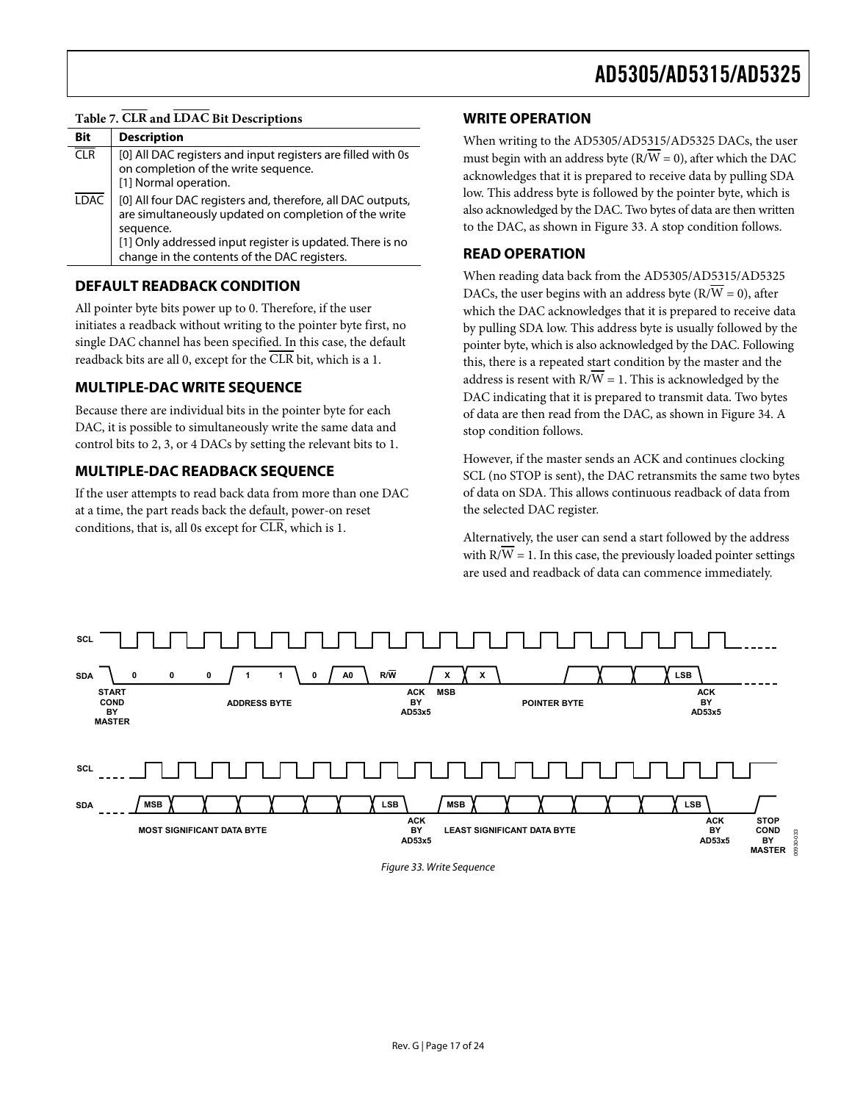### <span id="page-16-0"></span>**Table 7. CLR and LDAC Bit Descriptions**

| Bit              | <b>Description</b>                                                                                                                                                                                                                             |
|------------------|------------------------------------------------------------------------------------------------------------------------------------------------------------------------------------------------------------------------------------------------|
| $\overline{CLR}$ | [0] All DAC registers and input registers are filled with 0s<br>on completion of the write sequence.<br>[1] Normal operation.                                                                                                                  |
| <b>LDAC</b>      | [0] All four DAC registers and, therefore, all DAC outputs,<br>are simultaneously updated on completion of the write<br>sequence.<br>[1] Only addressed input register is updated. There is no<br>change in the contents of the DAC registers. |

#### **DEFAULT READBACK CONDITION**

All pointer byte bits power up to 0. Therefore, if the user initiates a readback without writing to the pointer byte first, no single DAC channel has been specified. In this case, the default readback bits are all 0, except for the  $\overline{\text{CLR}}$  bit, which is a 1.

### **MULTIPLE-DAC WRITE SEQUENCE**

Because there are individual bits in the pointer byte for each DAC, it is possible to simultaneously write the same data and control bits to 2, 3, or 4 DACs by setting the relevant bits to 1.

### **MULTIPLE-DAC READBACK SEQUENCE**

If the user attempts to read back data from more than one DAC at a time, the part reads back the default, power-on reset conditions, that is, all 0s except for CLR, which is 1.

#### **WRITE OPERATION**

When writing to the AD5305/AD5315/AD5325 DACs, the user must begin with an address byte ( $\overline{RVW} = 0$ ), after which the DAC acknowledges that it is prepared to receive data by pulling SDA low. This address byte is followed by the pointer byte, which is also acknowledged by the DAC. Two bytes of data are then written to the DAC, as shown in [Figure 33.](#page-16-1) A stop condition follows.

### **READ OPERATION**

When reading data back from the AD5305/AD5315/AD5325 DACs, the user begins with an address byte ( $\overline{RVW} = 0$ ), after which the DAC acknowledges that it is prepared to receive data by pulling SDA low. This address byte is usually followed by the pointer byte, which is also acknowledged by the DAC. Following this, there is a repeated start condition by the master and the address is resent with  $R/W = 1$ . This is acknowledged by the DAC indicating that it is prepared to transmit data. Two bytes of data are then read from the DAC, as shown in [Figure 34.](#page-17-2) A stop condition follows.

However, if the master sends an ACK and continues clocking SCL (no STOP is sent), the DAC retransmits the same two bytes of data on SDA. This allows continuous readback of data from the selected DAC register.

Alternatively, the user can send a start followed by the address with  $R/W = 1$ . In this case, the previously loaded pointer settings are used and readback of data can commence immediately.

<span id="page-16-1"></span>

Figure 33. Write Sequence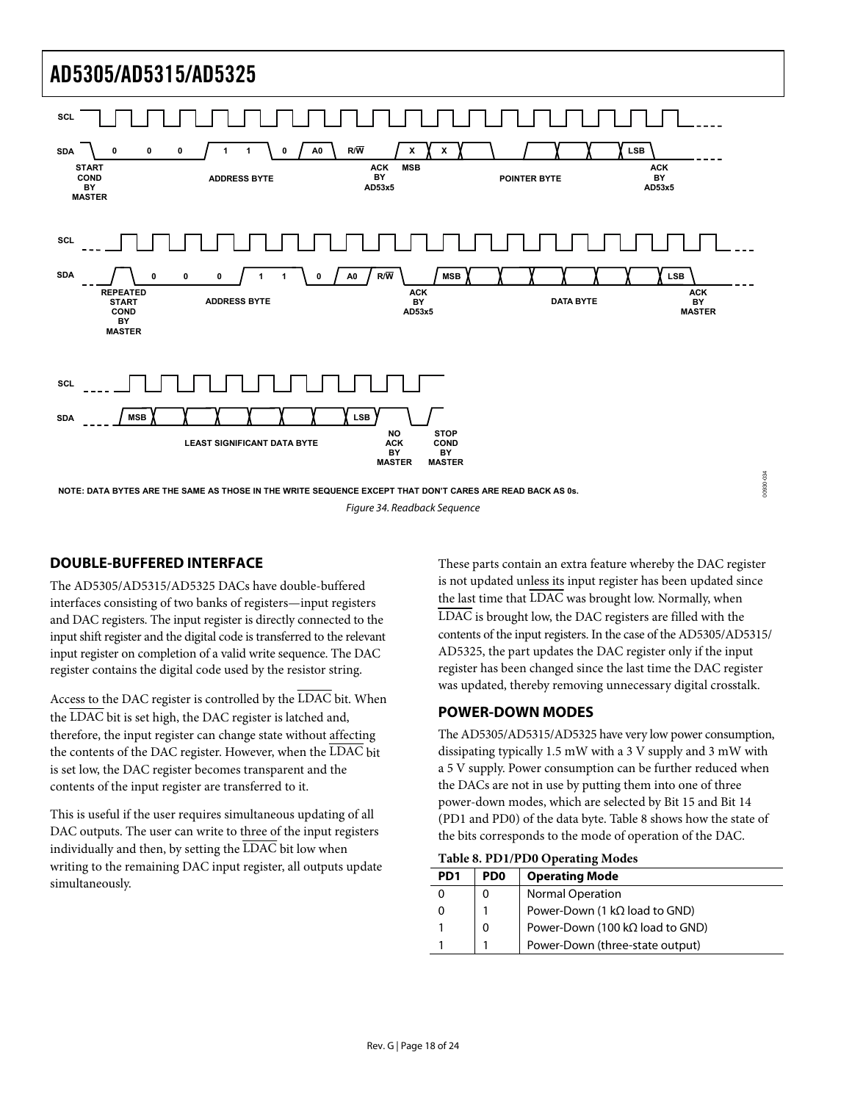<span id="page-17-0"></span>

<span id="page-17-2"></span>**NOTE: DATA BYTES ARE THE SAME AS THOSE IN THE WRITE SEQUENCE EXCEPT THAT DON'T CARES ARE READ BACK AS 0s.** Figure 34. Readback Sequence

### **DOUBLE-BUFFERED INTERFACE**

The AD5305/AD5315/AD5325 DACs have double-buffered interfaces consisting of two banks of registers—input registers and DAC registers. The input register is directly connected to the input shift register and the digital code is transferred to the relevant input register on completion of a valid write sequence. The DAC register contains the digital code used by the resistor string.

<span id="page-17-1"></span>Access to the DAC register is controlled by the  $\overline{\text{LDAC}}$  bit. When the LDAC bit is set high, the DAC register is latched and, therefore, the input register can change state without affecting the contents of the DAC register. However, when the LDAC bit is set low, the DAC register becomes transparent and the contents of the input register are transferred to it.

<span id="page-17-3"></span>This is useful if the user requires simultaneous updating of all DAC outputs. The user can write to three of the input registers individually and then, by setting the LDAC bit low when writing to the remaining DAC input register, all outputs update simultaneously.

These parts contain an extra feature whereby the DAC register is not updated unless its input register has been updated since the last time that LDAC was brought low. Normally, when LDAC is brought low, the DAC registers are filled with the contents of the input registers. In the case of the AD5305/AD5315/ AD5325, the part updates the DAC register only if the input register has been changed since the last time the DAC register was updated, thereby removing unnecessary digital crosstalk.

00930-034

### **POWER-DOWN MODES**

The AD5305/AD5315/AD5325 have very low power consumption, dissipating typically 1.5 mW with a 3 V supply and 3 mW with a 5 V supply. Power consumption can be further reduced when the DACs are not in use by putting them into one of three power-down modes, which are selected by Bit 15 and Bit 14 (PD1 and PD0) of the data byte. [Table 8](#page-17-3) shows how the state of the bits corresponds to the mode of operation of the DAC.

| Table 8. PD1/PD0 Operating Modes |  |  |  |
|----------------------------------|--|--|--|
|----------------------------------|--|--|--|

| PD <sub>1</sub> | PD <sub>0</sub> | <b>Operating Mode</b>                   |  |  |  |  |  |  |
|-----------------|-----------------|-----------------------------------------|--|--|--|--|--|--|
|                 |                 | <b>Normal Operation</b>                 |  |  |  |  |  |  |
|                 |                 | Power-Down (1 $k\Omega$ load to GND)    |  |  |  |  |  |  |
|                 | 0               | Power-Down (100 k $\Omega$ load to GND) |  |  |  |  |  |  |
|                 |                 | Power-Down (three-state output)         |  |  |  |  |  |  |
|                 |                 |                                         |  |  |  |  |  |  |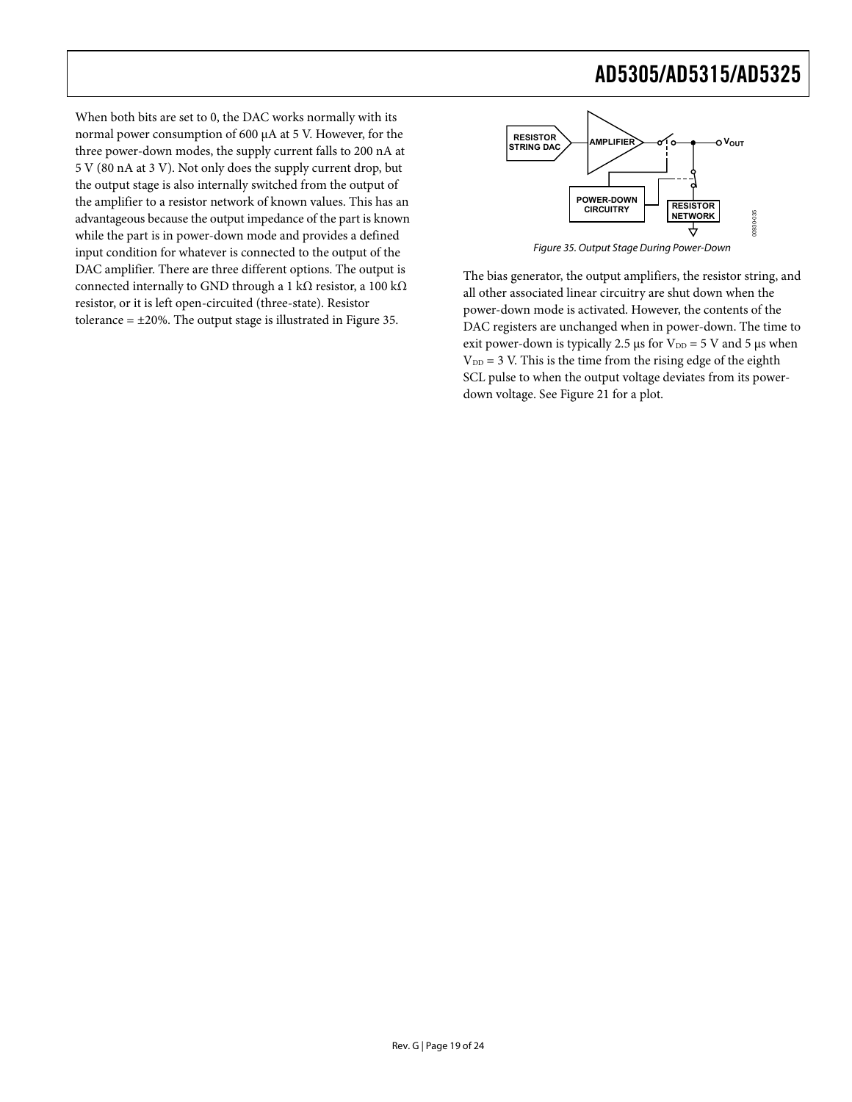<span id="page-18-0"></span>When both bits are set to 0, the DAC works normally with its normal power consumption of 600 μA at 5 V. However, for the three power-down modes, the supply current falls to 200 nA at 5 V (80 nA at 3 V). Not only does the supply current drop, but the output stage is also internally switched from the output of the amplifier to a resistor network of known values. This has an advantageous because the output impedance of the part is known while the part is in power-down mode and provides a defined input condition for whatever is connected to the output of the DAC amplifier. There are three different options. The output is connected internally to GND through a 1 kΩ resistor, a 100 kΩ resistor, or it is left open-circuited (three-state). Resistor tolerance  $= \pm 20$ %. The output stage is illustrated in [Figure 35](#page-18-0).



Figure 35. Output Stage During Power-Down

The bias generator, the output amplifiers, the resistor string, and all other associated linear circuitry are shut down when the power-down mode is activated. However, the contents of the DAC registers are unchanged when in power-down. The time to exit power-down is typically 2.5 μs for  $V_{DD} = 5$  V and 5 μs when  $V_{DD} = 3$  V. This is the time from the rising edge of the eighth SCL pulse to when the output voltage deviates from its powerdown voltage. See [Figure 21](#page-10-0) for a plot.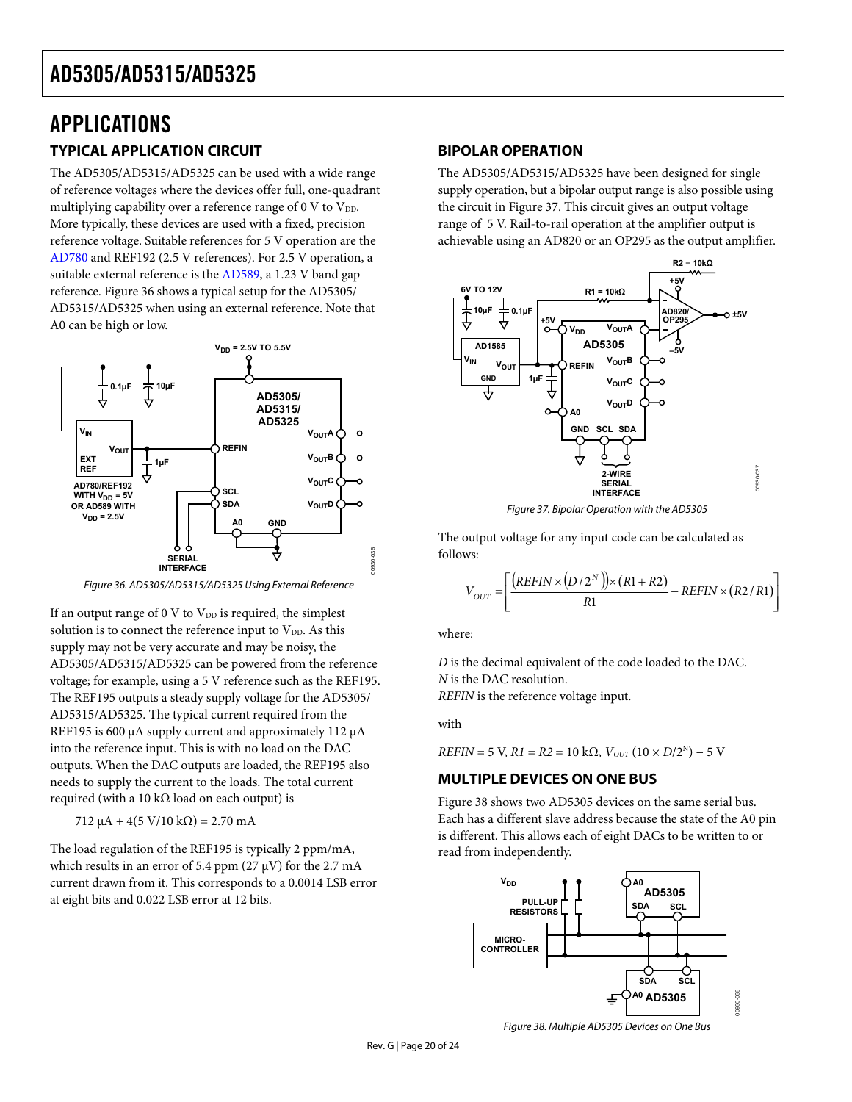## <span id="page-19-0"></span>APPLICATIONS **TYPICAL APPLICATION CIRCUIT**

The AD5305/AD5315/AD5325 can be used with a wide range of reference voltages where the devices offer full, one-quadrant multiplying capability over a reference range of 0 V to  $V_{DD}$ . More typically, these devices are used with a fixed, precision reference voltage. Suitable references for 5 V operation are the [AD780](http://www.analog.com/en/prod/0,2877,AD780,00.html) and REF192 (2.5 V references). For 2.5 V operation, a suitable external reference is the [AD589,](http://www.analog.com/en/prod/0%2C2877%2CAD589%2C00.html) a 1.23 V band gap reference. [Figure 36](#page-19-1) shows a typical setup for the AD5305/ AD5315/AD5325 when using an external reference. Note that A0 can be high or low.



<span id="page-19-2"></span>Figure 36. AD5305/AD5315/AD5325 Using External Reference

<span id="page-19-1"></span>If an output range of  $0 \text{ V}$  to  $\text{V}_{\text{DD}}$  is required, the simplest solution is to connect the reference input to  $V_{DD}$ . As this supply may not be very accurate and may be noisy, the AD5305/AD5315/AD5325 can be powered from the reference voltage; for example, using a 5 V reference such as the REF195. The REF195 outputs a steady supply voltage for the AD5305/ AD5315/AD5325. The typical current required from the REF195 is 600 μA supply current and approximately 112 μA into the reference input. This is with no load on the DAC outputs. When the DAC outputs are loaded, the REF195 also needs to supply the current to the loads. The total current required (with a 10 kΩ load on each output) is

 $712 \mu A + 4(5 \text{ V}/10 \text{ k}\Omega) = 2.70 \text{ mA}$ 

<span id="page-19-3"></span>The load regulation of the REF195 is typically 2 ppm/mA, which results in an error of 5.4 ppm  $(27 \mu V)$  for the 2.7 mA current drawn from it. This corresponds to a 0.0014 LSB error at eight bits and 0.022 LSB error at 12 bits.

#### **BIPOLAR OPERATION**

The AD5305/AD5315/AD5325 have been designed for single supply operation, but a bipolar output range is also possible using the circuit in [Figure 37](#page-19-2). This circuit gives an output voltage range of 5 V. Rail-to-rail operation at the amplifier output is achievable using an AD820 or an OP295 as the output amplifier.



Figure 37. Bipolar Operation with the AD5305

The output voltage for any input code can be calculated as follows:

$$
V_{OUT} = \left[ \frac{\left(REFIN \times (D/2^N)\right) \times (R1 + R2)}{R1} - REFIN \times (R2/R1) \right]
$$

where:

00930-036

*D* is the decimal equivalent of the code loaded to the DAC. *N* is the DAC resolution. *REFIN* is the reference voltage input.

with

 $REFIN = 5 V$ ,  $R1 = R2 = 10 k\Omega$ ,  $V_{OUT} (10 \times D/2^N) - 5 V$ 

### **MULTIPLE DEVICES ON ONE BUS**

[Figure 38](#page-19-3) shows two AD5305 devices on the same serial bus. Each has a different slave address because the state of the A0 pin is different. This allows each of eight DACs to be written to or read from independently.



Figure 38. Multiple AD5305 Devices on One Bus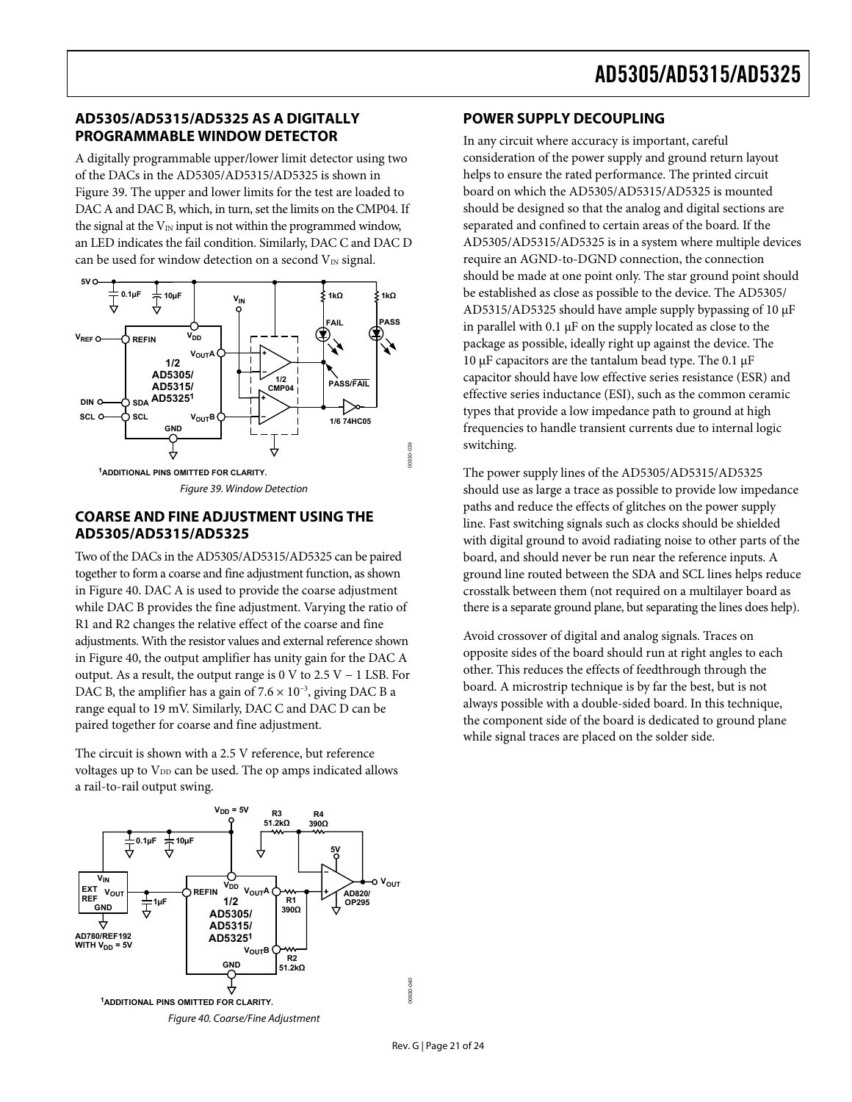### <span id="page-20-0"></span>**AD5305/AD5315/AD5325 AS A DIGITALLY PROGRAMMABLE WINDOW DETECTOR**

A digitally programmable upper/lower limit detector using two of the DACs in the AD5305/AD5315/AD5325 is shown in [Figure 39](#page-20-1). The upper and lower limits for the test are loaded to DAC A and DAC B, which, in turn, set the limits on the CMP04. If the signal at the  $V_{IN}$  input is not within the programmed window, an LED indicates the fail condition. Similarly, DAC C and DAC D can be used for window detection on a second  $V_{IN}$  signal.



### <span id="page-20-1"></span>**COARSE AND FINE ADJUSTMENT USING THE AD5305/AD5315/AD5325**

Two of the DACs in the AD5305/AD5315/AD5325 can be paired together to form a coarse and fine adjustment function, as shown in [Figure 40](#page-20-2). DAC A is used to provide the coarse adjustment while DAC B provides the fine adjustment. Varying the ratio of R1 and R2 changes the relative effect of the coarse and fine adjustments. With the resistor values and external reference shown in [Figure 40](#page-20-2), the output amplifier has unity gain for the DAC A output. As a result, the output range is 0 V to  $2.5$  V  $-$  1 LSB. For DAC B, the amplifier has a gain of  $7.6 \times 10^{-3}$ , giving DAC B a range equal to 19 mV. Similarly, DAC C and DAC D can be paired together for coarse and fine adjustment.

The circuit is shown with a 2.5 V reference, but reference voltages up to  $V_{DD}$  can be used. The op amps indicated allows a rail-to-rail output swing.

<span id="page-20-2"></span>

### **POWER SUPPLY DECOUPLING**

In any circuit where accuracy is important, careful consideration of the power supply and ground return layout helps to ensure the rated performance. The printed circuit board on which the AD5305/AD5315/AD5325 is mounted should be designed so that the analog and digital sections are separated and confined to certain areas of the board. If the AD5305/AD5315/AD5325 is in a system where multiple devices require an AGND-to-DGND connection, the connection should be made at one point only. The star ground point should be established as close as possible to the device. The AD5305/ AD5315/AD5325 should have ample supply bypassing of 10 μF in parallel with  $0.1 \mu$ F on the supply located as close to the package as possible, ideally right up against the device. The 10 μF capacitors are the tantalum bead type. The 0.1 μF capacitor should have low effective series resistance (ESR) and effective series inductance (ESI), such as the common ceramic types that provide a low impedance path to ground at high frequencies to handle transient currents due to internal logic switching.

The power supply lines of the AD5305/AD5315/AD5325 should use as large a trace as possible to provide low impedance paths and reduce the effects of glitches on the power supply line. Fast switching signals such as clocks should be shielded with digital ground to avoid radiating noise to other parts of the board, and should never be run near the reference inputs. A ground line routed between the SDA and SCL lines helps reduce crosstalk between them (not required on a multilayer board as there is a separate ground plane, but separating the lines does help).

Avoid crossover of digital and analog signals. Traces on opposite sides of the board should run at right angles to each other. This reduces the effects of feedthrough through the board. A microstrip technique is by far the best, but is not always possible with a double-sided board. In this technique, the component side of the board is dedicated to ground plane while signal traces are placed on the solder side.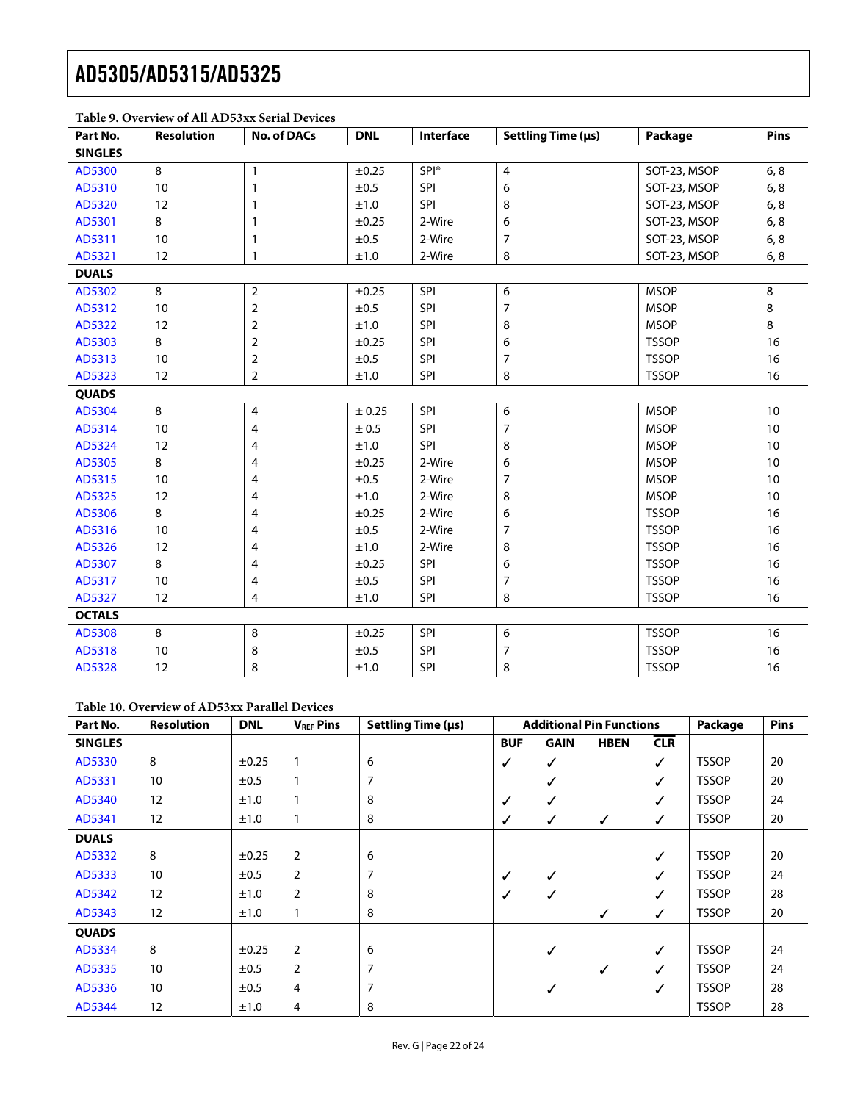| Part No.       | Table 9. O vel view of the hD99AA Serial Devices<br><b>Resolution</b> | <b>No. of DACs</b> | <b>DNL</b> | Interface   | Settling Time (µs) | Package      | Pins |
|----------------|-----------------------------------------------------------------------|--------------------|------------|-------------|--------------------|--------------|------|
| <b>SINGLES</b> |                                                                       |                    |            |             |                    |              |      |
| AD5300         | 8                                                                     | $\mathbf{1}$       | ±0.25      | <b>SPI®</b> | 4                  | SOT-23, MSOP | 6, 8 |
| AD5310         | 10                                                                    | 1                  | $\pm 0.5$  | SPI         | 6                  | SOT-23, MSOP | 6, 8 |
| AD5320         | 12                                                                    |                    | ±1.0       | SPI         | 8                  | SOT-23, MSOP | 6, 8 |
| AD5301         | 8                                                                     | 1                  | $\pm 0.25$ | 2-Wire      | 6                  | SOT-23, MSOP | 6, 8 |
| AD5311         | 10                                                                    | 1                  | ±0.5       | 2-Wire      | 7                  | SOT-23, MSOP | 6, 8 |
| AD5321         | 12                                                                    | 1                  | ±1.0       | 2-Wire      | 8                  | SOT-23, MSOP | 6, 8 |
| <b>DUALS</b>   |                                                                       |                    |            |             |                    |              |      |
| AD5302         | 8                                                                     | $\overline{2}$     | ±0.25      | SPI         | 6                  | <b>MSOP</b>  | 8    |
| AD5312         | 10                                                                    | $\overline{2}$     | ±0.5       | <b>SPI</b>  | 7                  | <b>MSOP</b>  | 8    |
| AD5322         | 12                                                                    | 2                  | ±1.0       | SPI         | 8                  | <b>MSOP</b>  | 8    |
| AD5303         | 8                                                                     | $\overline{2}$     | $\pm 0.25$ | <b>SPI</b>  | 6                  | <b>TSSOP</b> | 16   |
| AD5313         | 10                                                                    | 2                  | ±0.5       | SPI         | 7                  | <b>TSSOP</b> | 16   |
| AD5323         | 12                                                                    | $\overline{2}$     | $\pm 1.0$  | SPI         | 8                  | <b>TSSOP</b> | 16   |
| <b>QUADS</b>   |                                                                       |                    |            |             |                    |              |      |
| AD5304         | 8                                                                     | 4                  | ± 0.25     | SPI         | 6                  | <b>MSOP</b>  | $10$ |
| AD5314         | 10                                                                    | 4                  | $\pm$ 0.5  | SPI         | 7                  | <b>MSOP</b>  | 10   |
| AD5324         | 12                                                                    | 4                  | ±1.0       | SPI         | 8                  | <b>MSOP</b>  | 10   |
| AD5305         | 8                                                                     | 4                  | $\pm 0.25$ | 2-Wire      | 6                  | <b>MSOP</b>  | 10   |
| AD5315         | 10                                                                    | 4                  | ±0.5       | 2-Wire      | 7                  | <b>MSOP</b>  | 10   |
| AD5325         | 12                                                                    | 4                  | ±1.0       | 2-Wire      | 8                  | <b>MSOP</b>  | 10   |
| AD5306         | 8                                                                     | 4                  | $\pm 0.25$ | 2-Wire      | 6                  | <b>TSSOP</b> | 16   |
| AD5316         | 10                                                                    | 4                  | ±0.5       | 2-Wire      | 7                  | <b>TSSOP</b> | 16   |
| AD5326         | 12                                                                    | 4                  | ±1.0       | 2-Wire      | 8                  | <b>TSSOP</b> | 16   |
| AD5307         | 8                                                                     | 4                  | $\pm 0.25$ | SPI         | 6                  | <b>TSSOP</b> | 16   |
| AD5317         | 10                                                                    | 4                  | ±0.5       | SPI         | $\overline{7}$     | <b>TSSOP</b> | 16   |
| AD5327         | 12                                                                    | 4                  | $\pm 1.0$  | SPI         | 8                  | <b>TSSOP</b> | 16   |
| <b>OCTALS</b>  |                                                                       |                    |            |             |                    |              |      |
| AD5308         | 8                                                                     | 8                  | ±0.25      | SPI         | 6                  | <b>TSSOP</b> | 16   |
| AD5318         | 10                                                                    | 8                  | ±0.5       | SPI         | 7                  | <b>TSSOP</b> | 16   |
| AD5328         | 12                                                                    | 8                  | ±1.0       | <b>SPI</b>  | 8                  | <b>TSSOP</b> | 16   |

### **Table 9. Overview of All AD53xx Serial Devices**

#### **Table 10. Overview of AD53xx Parallel Devices**

| Part No.       | <b>Resolution</b> | <b>DNL</b> | <b>VREF Pins</b> | Settling Time (µs) | <b>Additional Pin Functions</b> |             | Package     | Pins         |              |    |
|----------------|-------------------|------------|------------------|--------------------|---------------------------------|-------------|-------------|--------------|--------------|----|
| <b>SINGLES</b> |                   |            |                  |                    | <b>BUF</b>                      | <b>GAIN</b> | <b>HBEN</b> | CLR          |              |    |
| AD5330         | 8                 | $\pm 0.25$ |                  | 6                  | ✓                               | ✓           |             | $\checkmark$ | <b>TSSOP</b> | 20 |
| AD5331         | 10                | $\pm 0.5$  |                  | 7                  |                                 | √           |             | $\checkmark$ | <b>TSSOP</b> | 20 |
| AD5340         | 12                | ±1.0       |                  | 8                  | ✓                               | √           |             | $\checkmark$ | <b>TSSOP</b> | 24 |
| AD5341         | 12                | ±1.0       |                  | 8                  | ✓                               | ✓           | ✓           | ✓            | <b>TSSOP</b> | 20 |
| <b>DUALS</b>   |                   |            |                  |                    |                                 |             |             |              |              |    |
| AD5332         | 8                 | $\pm 0.25$ | $\overline{2}$   | 6                  |                                 |             |             | $\checkmark$ | <b>TSSOP</b> | 20 |
| AD5333         | 10                | $\pm 0.5$  | $\overline{2}$   | 7                  | ✓                               | ✓           |             | $\checkmark$ | <b>TSSOP</b> | 24 |
| AD5342         | 12                | ±1.0       | 2                | 8                  | ✓                               | √           |             | ✓            | <b>TSSOP</b> | 28 |
| AD5343         | 12                | ±1.0       |                  | 8                  |                                 |             | ✓           | ✓            | <b>TSSOP</b> | 20 |
| <b>QUADS</b>   |                   |            |                  |                    |                                 |             |             |              |              |    |
| AD5334         | 8                 | $\pm 0.25$ | $\overline{2}$   | 6                  |                                 | ✓           |             | $\checkmark$ | <b>TSSOP</b> | 24 |
| AD5335         | 10                | ±0.5       | $\overline{2}$   | 7                  |                                 |             | ✓           | $\checkmark$ | <b>TSSOP</b> | 24 |
| AD5336         | 10                | ±0.5       | 4                | 7                  |                                 | √           |             | $\checkmark$ | <b>TSSOP</b> | 28 |
| AD5344         | 12                | ±1.0       | $\overline{4}$   | 8                  |                                 |             |             |              | <b>TSSOP</b> | 28 |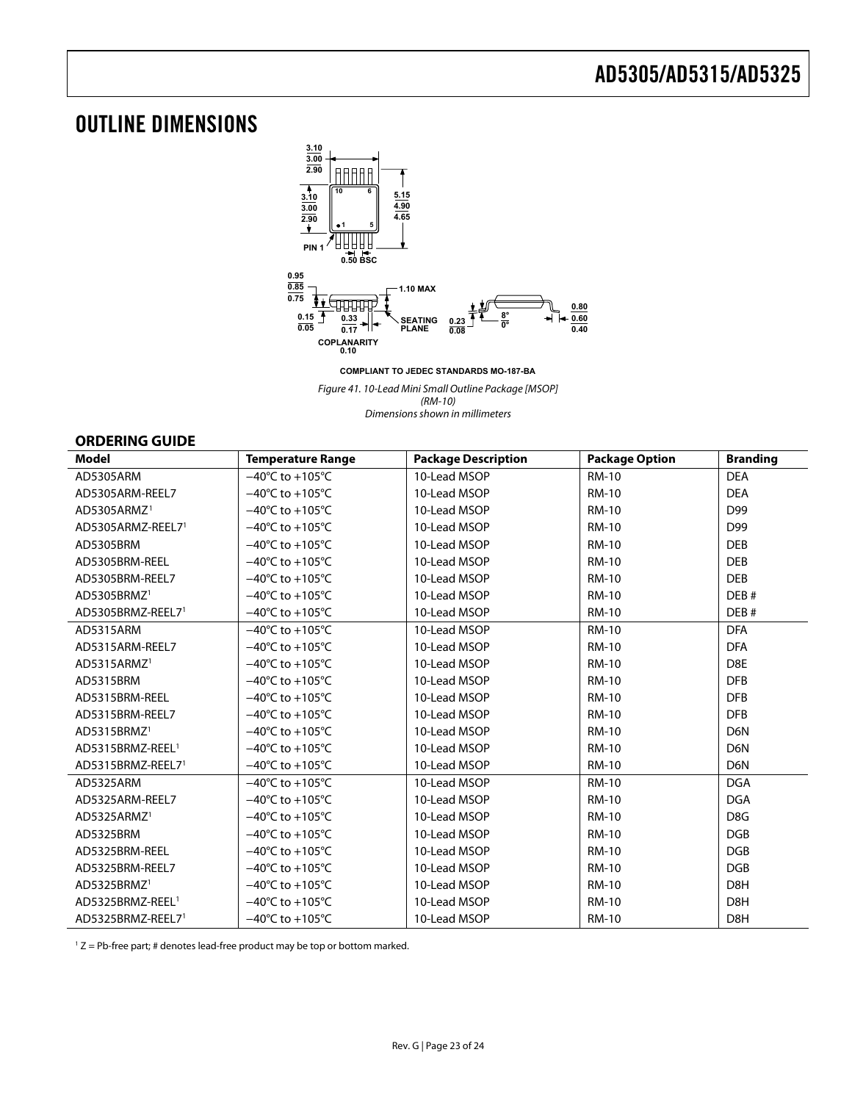## <span id="page-22-0"></span>OUTLINE DIMENSIONS



**COMPLIANT TO JEDEC STANDARDS MO-187-BA**

Figure 41. 10-Lead Mini Small Outline Package [MSOP] (RM-10) Dimensions shown in millimeters

#### **ORDERING GUIDE**

| <b>Model</b>                 | <b>Temperature Range</b>            | <b>Package Description</b> | <b>Package Option</b> | <b>Branding</b>  |
|------------------------------|-------------------------------------|----------------------------|-----------------------|------------------|
| AD5305ARM                    | $-40^{\circ}$ C to $+105^{\circ}$ C | 10-Lead MSOP               | <b>RM-10</b>          | <b>DEA</b>       |
| AD5305ARM-REEL7              | $-40^{\circ}$ C to $+105^{\circ}$ C | 10-Lead MSOP               | <b>RM-10</b>          | <b>DEA</b>       |
| AD5305ARMZ <sup>1</sup>      | $-40^{\circ}$ C to $+105^{\circ}$ C | 10-Lead MSOP               | <b>RM-10</b>          | D99              |
| AD5305ARMZ-REEL71            | $-40^{\circ}$ C to $+105^{\circ}$ C | 10-Lead MSOP               | <b>RM-10</b>          | D99              |
| AD5305BRM                    | $-40^{\circ}$ C to $+105^{\circ}$ C | 10-Lead MSOP               | <b>RM-10</b>          | <b>DEB</b>       |
| AD5305BRM-REEL               | $-40^{\circ}$ C to $+105^{\circ}$ C | 10-Lead MSOP               | <b>RM-10</b>          | <b>DEB</b>       |
| AD5305BRM-REEL7              | $-40^{\circ}$ C to $+105^{\circ}$ C | 10-Lead MSOP               | <b>RM-10</b>          | <b>DEB</b>       |
| AD5305BRMZ <sup>1</sup>      | $-40^{\circ}$ C to $+105^{\circ}$ C | 10-Lead MSOP               | <b>RM-10</b>          | DEB#             |
| AD5305BRMZ-REEL71            | $-40^{\circ}$ C to $+105^{\circ}$ C | 10-Lead MSOP               | <b>RM-10</b>          | DEB#             |
| AD5315ARM                    | $-40^{\circ}$ C to $+105^{\circ}$ C | 10-Lead MSOP               | <b>RM-10</b>          | <b>DFA</b>       |
| AD5315ARM-REEL7              | $-40^{\circ}$ C to $+105^{\circ}$ C | 10-Lead MSOP               | <b>RM-10</b>          | <b>DFA</b>       |
| AD5315ARMZ <sup>1</sup>      | $-40^{\circ}$ C to $+105^{\circ}$ C | 10-Lead MSOP               | <b>RM-10</b>          | D8E              |
| AD5315BRM                    | $-40^{\circ}$ C to $+105^{\circ}$ C | 10-Lead MSOP               | <b>RM-10</b>          | <b>DFB</b>       |
| AD5315BRM-REEL               | $-40^{\circ}$ C to $+105^{\circ}$ C | 10-Lead MSOP               | <b>RM-10</b>          | <b>DFB</b>       |
| AD5315BRM-REEL7              | $-40^{\circ}$ C to $+105^{\circ}$ C | 10-Lead MSOP               | <b>RM-10</b>          | <b>DFB</b>       |
| AD5315BRMZ <sup>1</sup>      | $-40^{\circ}$ C to $+105^{\circ}$ C | 10-Lead MSOP               | <b>RM-10</b>          | D <sub>6</sub> N |
| AD5315BRMZ-REEL <sup>1</sup> | $-40^{\circ}$ C to $+105^{\circ}$ C | 10-Lead MSOP               | <b>RM-10</b>          | D <sub>6</sub> N |
| AD5315BRMZ-REEL71            | $-40^{\circ}$ C to $+105^{\circ}$ C | 10-Lead MSOP               | <b>RM-10</b>          | D <sub>6</sub> N |
| AD5325ARM                    | $-40^{\circ}$ C to $+105^{\circ}$ C | 10-Lead MSOP               | <b>RM-10</b>          | <b>DGA</b>       |
| AD5325ARM-REEL7              | $-40^{\circ}$ C to $+105^{\circ}$ C | 10-Lead MSOP               | <b>RM-10</b>          | <b>DGA</b>       |
| AD5325ARMZ <sup>1</sup>      | $-40^{\circ}$ C to $+105^{\circ}$ C | 10-Lead MSOP               | <b>RM-10</b>          | D <sub>8</sub> G |
| AD5325BRM                    | $-40^{\circ}$ C to $+105^{\circ}$ C | 10-Lead MSOP               | <b>RM-10</b>          | <b>DGB</b>       |
| AD5325BRM-REEL               | $-40^{\circ}$ C to $+105^{\circ}$ C | 10-Lead MSOP               | <b>RM-10</b>          | <b>DGB</b>       |
| AD5325BRM-REEL7              | $-40^{\circ}$ C to $+105^{\circ}$ C | 10-Lead MSOP               | <b>RM-10</b>          | <b>DGB</b>       |
| AD5325BRMZ <sup>1</sup>      | $-40^{\circ}$ C to $+105^{\circ}$ C | 10-Lead MSOP               | <b>RM-10</b>          | D <sub>8</sub> H |
| AD5325BRMZ-REEL <sup>1</sup> | $-40^{\circ}$ C to $+105^{\circ}$ C | 10-Lead MSOP               | <b>RM-10</b>          | D8H              |
| AD5325BRMZ-REEL71            | $-40^{\circ}$ C to $+105^{\circ}$ C | 10-Lead MSOP               | <b>RM-10</b>          | D8H              |

 $1 Z = Pb$ -free part; # denotes lead-free product may be top or bottom marked.